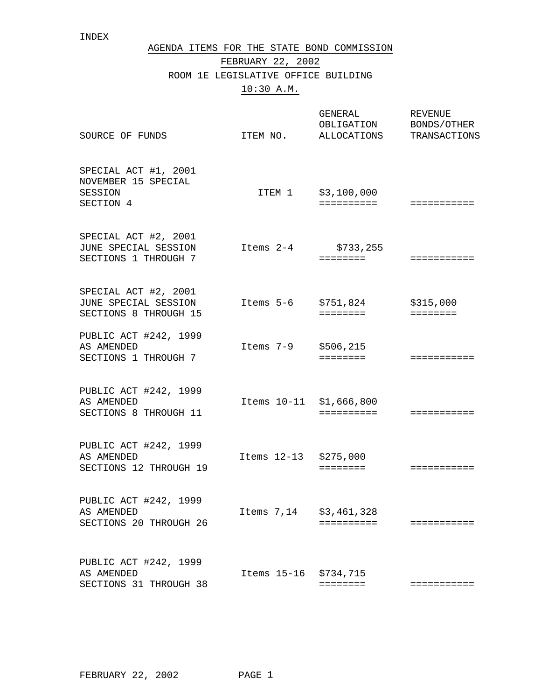| AGENDA ITEMS FOR THE STATE BOND COMMISSION |  |
|--------------------------------------------|--|
| FEBRUARY 22, 2002                          |  |
| ROOM 1E LEGISLATIVE OFFICE BUILDING        |  |
| 10:30 A.M.                                 |  |

| SOURCE OF FUNDS                                                       | ITEM NO.                | GENERAL<br>OBLIGATION<br>ALLOCATIONS | <b>REVENUE</b><br>BONDS/OTHER<br>TRANSACTIONS |
|-----------------------------------------------------------------------|-------------------------|--------------------------------------|-----------------------------------------------|
| SPECIAL ACT #1, 2001<br>NOVEMBER 15 SPECIAL<br>SESSION<br>SECTION 4   |                         | ITEM 1 \$3,100,000<br>==========     | ===========                                   |
| SPECIAL ACT #2, 2001<br>JUNE SPECIAL SESSION<br>SECTIONS 1 THROUGH 7  | Items 2-4               | \$733,255<br>========                | ===========                                   |
| SPECIAL ACT #2, 2001<br>JUNE SPECIAL SESSION<br>SECTIONS 8 THROUGH 15 | Items 5-6 \$751,824     | ========                             | \$315,000<br>$=$ = = = = = = =                |
| PUBLIC ACT #242, 1999<br>AS AMENDED<br>SECTIONS 1 THROUGH 7           | Items 7-9               | \$506,215<br>========                | ===========                                   |
| PUBLIC ACT #242, 1999<br>AS AMENDED<br>SECTIONS 8 THROUGH 11          | Items 10-11 \$1,666,800 | ==========                           | ===========                                   |
| PUBLIC ACT #242, 1999<br>AS AMENDED<br>SECTIONS 12 THROUGH 19         | Items 12-13 \$275,000   | $=$ = = = = = = =                    | ===========                                   |
| PUBLIC ACT #242, 1999<br>AS AMENDED<br>SECTIONS 20 THROUGH 26         | Items 7,14 \$3,461,328  | ==========                           | :==========                                   |
| PUBLIC ACT #242, 1999<br>AS AMENDED<br>SECTIONS 31 THROUGH 38         | Items 15-16 \$734,715   | ========                             | ===========                                   |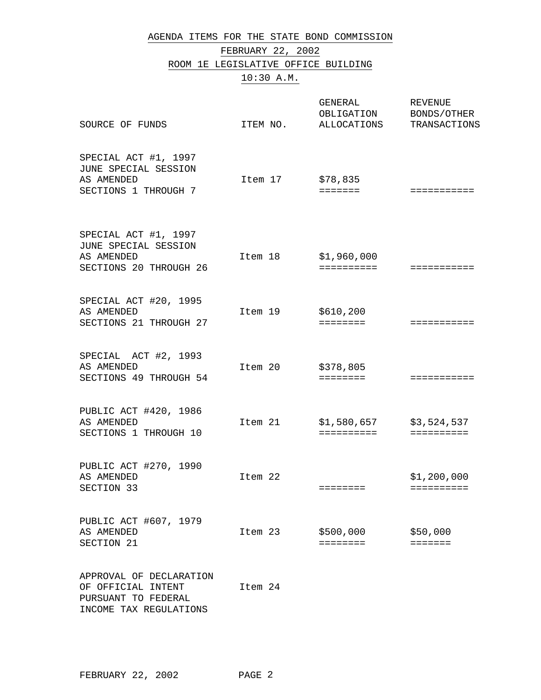## AGENDA ITEMS FOR THE STATE BOND COMMISSION

## FEBRUARY 22, 2002

## ROOM 1E LEGISLATIVE OFFICE BUILDING

## 10:30 A.M.

| SOURCE OF FUNDS                                                                      | ITEM NO. | GENERAL<br>OBLIGATION<br>ALLOCATIONS | <b>REVENUE</b><br>BONDS/OTHER<br>TRANSACTIONS |
|--------------------------------------------------------------------------------------|----------|--------------------------------------|-----------------------------------------------|
| SPECIAL ACT #1, 1997<br>JUNE SPECIAL SESSION<br>AS AMENDED<br>SECTIONS 1 THROUGH 7   | Item 17  | \$78,835<br>$=$ $=$ $=$ $=$ $=$ $=$  | ===========                                   |
| SPECIAL ACT #1, 1997<br>JUNE SPECIAL SESSION<br>AS AMENDED<br>SECTIONS 20 THROUGH 26 | Item 18  | \$1,960,000<br>==========            | ===========                                   |
| SPECIAL ACT #20, 1995<br>AS AMENDED<br>SECTIONS 21 THROUGH 27                        | Item 19  | \$610, 200<br>========               | ===========                                   |
| SPECIAL ACT #2, 1993<br>AS AMENDED<br>SECTIONS 49 THROUGH 54                         | Item 20  | \$378,805<br>$=$ = = = = = = =       | ===========                                   |
| PUBLIC ACT #420, 1986<br>AS AMENDED<br>SECTIONS 1 THROUGH 10                         | Item 21  | \$1,580,657<br>==========            | \$3,524,537<br>$=$ = = = = = = = = =          |
| PUBLIC ACT #270, 1990<br>AS AMENDED<br>SECTION 33                                    | Item 22  | $=$ = = = = = = =                    | \$1,200,000<br>==========                     |
| PUBLIC ACT #607, 1979<br>AS AMENDED<br>SECTION 21                                    | Item 23  | \$500,000<br>========                | \$50,000<br>=======                           |
| APPROVAL OF DECLARATION<br>OF OFFICIAL INTENT<br>PURSUANT TO FEDERAL                 | Item 24  |                                      |                                               |

INCOME TAX REGULATIONS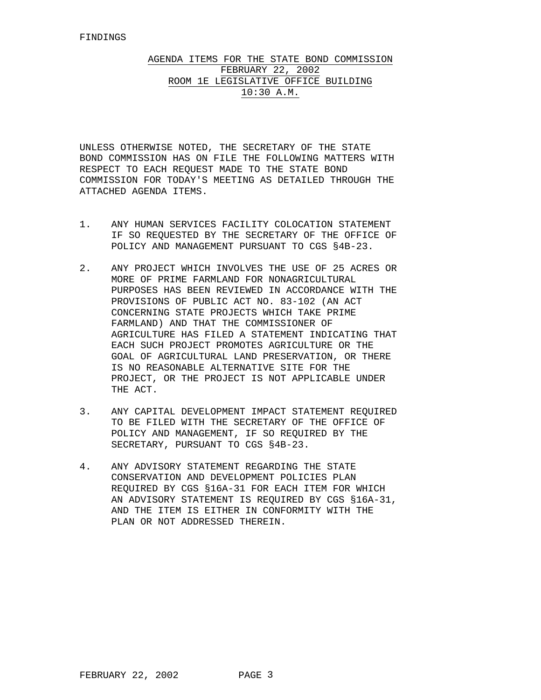## AGENDA ITEMS FOR THE STATE BOND COMMISSION FEBRUARY 22, 2002 ROOM 1E LEGISLATIVE OFFICE BUILDING 10:30 A.M.

UNLESS OTHERWISE NOTED, THE SECRETARY OF THE STATE BOND COMMISSION HAS ON FILE THE FOLLOWING MATTERS WITH RESPECT TO EACH REQUEST MADE TO THE STATE BOND COMMISSION FOR TODAY'S MEETING AS DETAILED THROUGH THE ATTACHED AGENDA ITEMS.

- 1. ANY HUMAN SERVICES FACILITY COLOCATION STATEMENT IF SO REQUESTED BY THE SECRETARY OF THE OFFICE OF POLICY AND MANAGEMENT PURSUANT TO CGS §4B-23.
- 2. ANY PROJECT WHICH INVOLVES THE USE OF 25 ACRES OR MORE OF PRIME FARMLAND FOR NONAGRICULTURAL PURPOSES HAS BEEN REVIEWED IN ACCORDANCE WITH THE PROVISIONS OF PUBLIC ACT NO. 83-102 (AN ACT CONCERNING STATE PROJECTS WHICH TAKE PRIME FARMLAND) AND THAT THE COMMISSIONER OF AGRICULTURE HAS FILED A STATEMENT INDICATING THAT EACH SUCH PROJECT PROMOTES AGRICULTURE OR THE GOAL OF AGRICULTURAL LAND PRESERVATION, OR THERE IS NO REASONABLE ALTERNATIVE SITE FOR THE PROJECT, OR THE PROJECT IS NOT APPLICABLE UNDER THE ACT.
- 3. ANY CAPITAL DEVELOPMENT IMPACT STATEMENT REQUIRED TO BE FILED WITH THE SECRETARY OF THE OFFICE OF POLICY AND MANAGEMENT, IF SO REQUIRED BY THE SECRETARY, PURSUANT TO CGS §4B-23.
- 4. ANY ADVISORY STATEMENT REGARDING THE STATE CONSERVATION AND DEVELOPMENT POLICIES PLAN REQUIRED BY CGS §16A-31 FOR EACH ITEM FOR WHICH AN ADVISORY STATEMENT IS REQUIRED BY CGS §16A-31, AND THE ITEM IS EITHER IN CONFORMITY WITH THE PLAN OR NOT ADDRESSED THEREIN.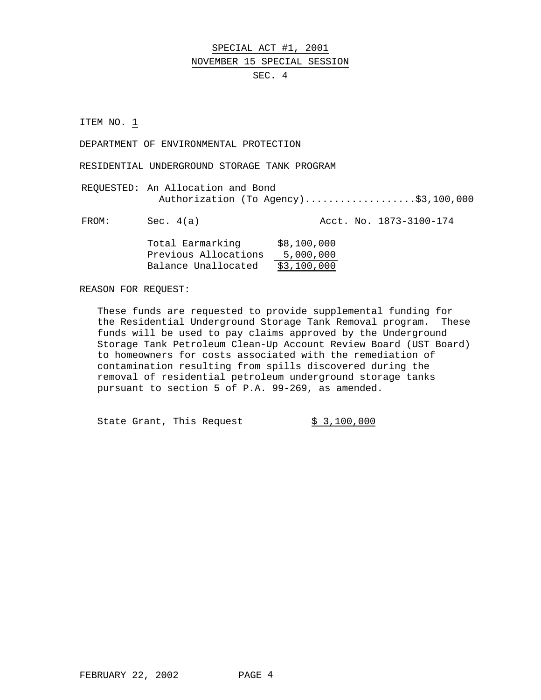### SPECIAL ACT #1, 2001

#### NOVEMBER 15 SPECIAL SESSION

### SEC. 4

ITEM NO. 1

DEPARTMENT OF ENVIRONMENTAL PROTECTION

RESIDENTIAL UNDERGROUND STORAGE TANK PROGRAM

REQUESTED: An Allocation and Bond Authorization (To Agency)....................\$3,100,000

FROM: Sec. 4(a) Acct. No. 1873-3100-174

| Total Earmarking     | \$8,100,000 |
|----------------------|-------------|
| Previous Allocations | 5,000,000   |
| Balance Unallocated  | \$3,100,000 |

REASON FOR REQUEST:

These funds are requested to provide supplemental funding for the Residential Underground Storage Tank Removal program. These funds will be used to pay claims approved by the Underground Storage Tank Petroleum Clean-Up Account Review Board (UST Board) to homeowners for costs associated with the remediation of contamination resulting from spills discovered during the removal of residential petroleum underground storage tanks pursuant to section 5 of P.A. 99-269, as amended.

State Grant, This Request \$ 3,100,000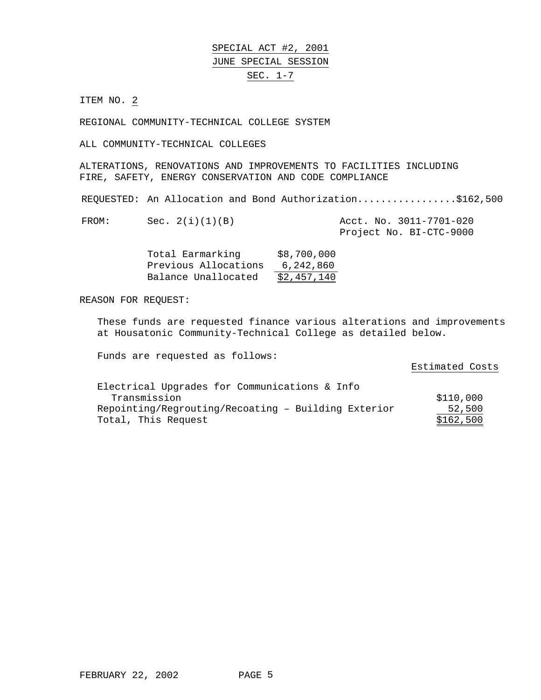SPECIAL ACT #2, 2001 JUNE SPECIAL SESSION SEC. 1-7

ITEM NO. 2

REGIONAL COMMUNITY-TECHNICAL COLLEGE SYSTEM

ALL COMMUNITY-TECHNICAL COLLEGES

ALTERATIONS, RENOVATIONS AND IMPROVEMENTS TO FACILITIES INCLUDING FIRE, SAFETY, ENERGY CONSERVATION AND CODE COMPLIANCE

REQUESTED: An Allocation and Bond Authorization.................\$162,500

FROM: Sec. 2(i)(1)(B) Acct. No. 3011-7701-020 Project No. BI-CTC-9000

| Total Earmarking     | \$8,700,000 |
|----------------------|-------------|
| Previous Allocations | 6,242,860   |
| Balance Unallocated  | \$2,457,140 |

REASON FOR REQUEST:

These funds are requested finance various alterations and improvements at Housatonic Community-Technical College as detailed below.

Funds are requested as follows:

Estimated Costs Electrical Upgrades for Communications & Info Transmission  $$110,000$ Repointing/Regrouting/Recoating – Building Exterior  $\frac{52,500}{\$162,500}$ Total, This Request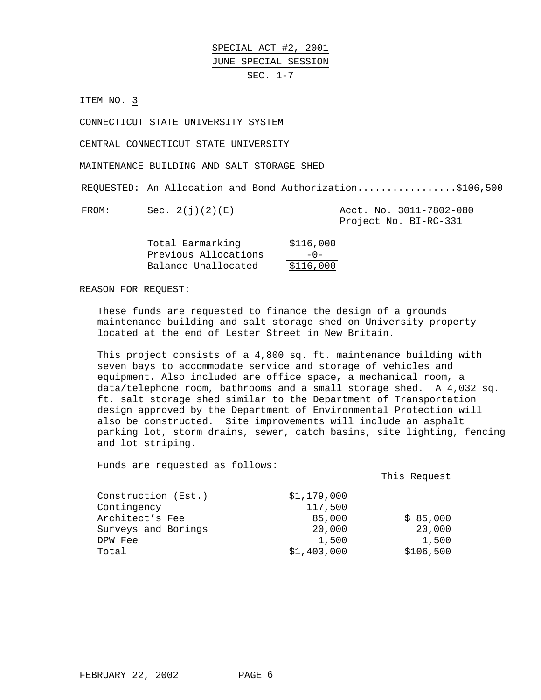SPECIAL ACT #2, 2001 JUNE SPECIAL SESSION SEC. 1-7

ITEM NO. 3

CONNECTICUT STATE UNIVERSITY SYSTEM

CENTRAL CONNECTICUT STATE UNIVERSITY

MAINTENANCE BUILDING AND SALT STORAGE SHED

REQUESTED: An Allocation and Bond Authorization.................\$106,500

FROM: Sec. 2(j)(2)(E) Acct. No. 3011-7802-080

Project No. BI-RC-331

| Total Earmarking     | \$116,000 |
|----------------------|-----------|
| Previous Allocations | $-0-$     |
| Balance Unallocated  | \$116,000 |

REASON FOR REQUEST:

These funds are requested to finance the design of a grounds maintenance building and salt storage shed on University property located at the end of Lester Street in New Britain.

This project consists of a 4,800 sq. ft. maintenance building with seven bays to accommodate service and storage of vehicles and equipment. Also included are office space, a mechanical room, a data/telephone room, bathrooms and a small storage shed. A 4,032 sq. ft. salt storage shed similar to the Department of Transportation design approved by the Department of Environmental Protection will also be constructed. Site improvements will include an asphalt parking lot, storm drains, sewer, catch basins, site lighting, fencing and lot striping.

|                     |             | This Request |
|---------------------|-------------|--------------|
| Construction (Est.) | \$1,179,000 |              |
| Contingency         | 117,500     |              |
| Architect's Fee     | 85,000      | \$85,000     |
| Surveys and Borings | 20,000      | 20,000       |
| DPW Fee             | 1,500       | 1,500        |
| Total               | \$1,403,000 | \$106,500    |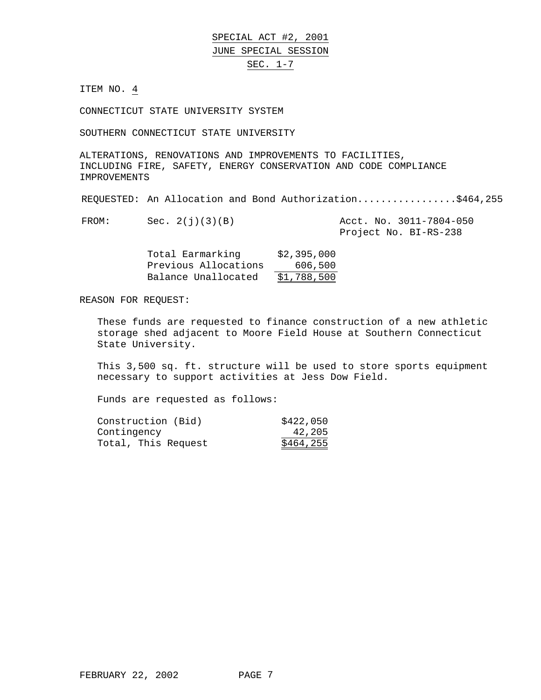## SPECIAL ACT #2, 2001 JUNE SPECIAL SESSION

## SEC. 1-7

ITEM NO. 4

CONNECTICUT STATE UNIVERSITY SYSTEM

SOUTHERN CONNECTICUT STATE UNIVERSITY

ALTERATIONS, RENOVATIONS AND IMPROVEMENTS TO FACILITIES, INCLUDING FIRE, SAFETY, ENERGY CONSERVATION AND CODE COMPLIANCE IMPROVEMENTS

REQUESTED: An Allocation and Bond Authorization.................\$464,255

FROM: Sec. 2(j)(3)(B) Acct. No. 3011-7804-050

Project No. BI-RS-238

| Total Earmarking     | \$2,395,000 |
|----------------------|-------------|
| Previous Allocations | 606,500     |
| Balance Unallocated  | \$1,788,500 |

REASON FOR REQUEST:

These funds are requested to finance construction of a new athletic storage shed adjacent to Moore Field House at Southern Connecticut State University.

This 3,500 sq. ft. structure will be used to store sports equipment necessary to support activities at Jess Dow Field.

| Construction (Bid)  | \$422,050 |
|---------------------|-----------|
| Contingency         | 42,205    |
| Total, This Request | \$464,255 |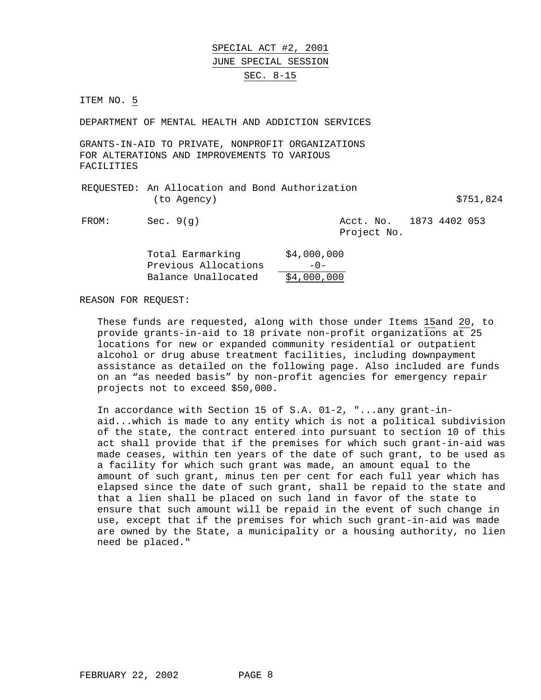SPECIAL ACT #2, 2001 JUNE SPECIAL SESSION SEC. 8-15

ITEM NO. 5

DEPARTMENT OF MENTAL HEALTH AND ADDICTION SERVICES

GRANTS-IN-AID TO PRIVATE, NONPROFIT ORGANIZATIONS FOR ALTERATIONS AND IMPROVEMENTS TO VARIOUS FACILITIES

| REQUESTED: An Allocation and Bond Authorization |  |           |
|-------------------------------------------------|--|-----------|
| (to Agency)                                     |  | \$751,824 |

FROM: Sec. 9(q) Acct. No. 1873 4402 053 Project No.

| Total Earmarking     | \$4,000,000 |
|----------------------|-------------|
| Previous Allocations | $-0-$       |
| Balance Unallocated  | \$4,000,000 |

REASON FOR REQUEST:

These funds are requested, along with those under Items 15and 20, to provide grants-in-aid to 18 private non-profit organizations at 25 locations for new or expanded community residential or outpatient alcohol or drug abuse treatment facilities, including downpayment assistance as detailed on the following page. Also included are funds on an "as needed basis" by non-profit agencies for emergency repair projects not to exceed \$50,000.

In accordance with Section 15 of S.A. 01-2, "...any grant-inaid...which is made to any entity which is not a political subdivision of the state, the contract entered into pursuant to section 10 of this act shall provide that if the premises for which such grant-in-aid was made ceases, within ten years of the date of such grant, to be used as a facility for which such grant was made, an amount equal to the amount of such grant, minus ten per cent for each full year which has elapsed since the date of such grant, shall be repaid to the state and that a lien shall be placed on such land in favor of the state to ensure that such amount will be repaid in the event of such change in use, except that if the premises for which such grant-in-aid was made are owned by the State, a municipality or a housing authority, no lien need be placed."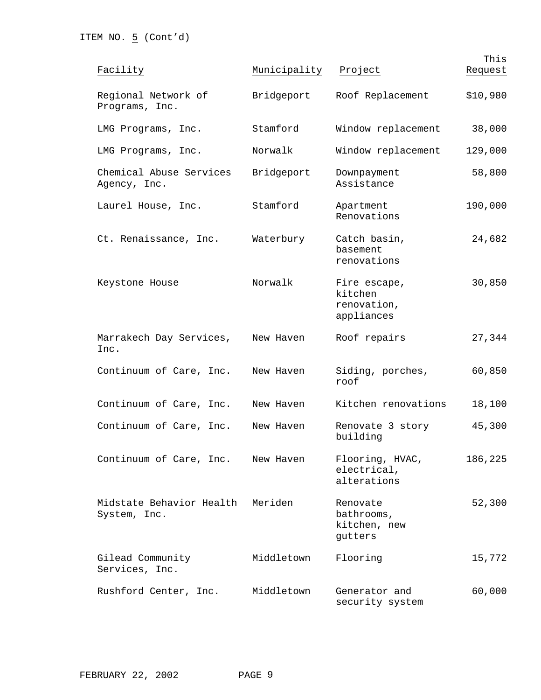| Facility                                 | Municipality | Project                                              | This<br>Request |
|------------------------------------------|--------------|------------------------------------------------------|-----------------|
| Regional Network of<br>Programs, Inc.    | Bridgeport   | Roof Replacement                                     | \$10,980        |
| LMG Programs, Inc.                       | Stamford     | Window replacement                                   | 38,000          |
| LMG Programs, Inc.                       | Norwalk      | Window replacement                                   | 129,000         |
| Chemical Abuse Services<br>Agency, Inc.  | Bridgeport   | Downpayment<br>Assistance                            | 58,800          |
| Laurel House, Inc.                       | Stamford     | Apartment<br>Renovations                             | 190,000         |
| Ct. Renaissance, Inc.                    | Waterbury    | Catch basin,<br>basement<br>renovations              | 24,682          |
| Keystone House                           | Norwalk      | Fire escape,<br>kitchen<br>renovation,<br>appliances | 30,850          |
| Marrakech Day Services,<br>Inc.          | New Haven    | Roof repairs                                         | 27,344          |
| Continuum of Care, Inc.                  | New Haven    | Siding, porches,<br>roof                             | 60,850          |
| Continuum of Care, Inc.                  | New Haven    | Kitchen renovations                                  | 18,100          |
| Continuum of Care, Inc.                  | New Haven    | Renovate 3 story<br>building                         | 45,300          |
| Continuum of Care, Inc.                  | New Haven    | Flooring, HVAC,<br>electrical,<br>alterations        | 186,225         |
| Midstate Behavior Health<br>System, Inc. | Meriden      | Renovate<br>bathrooms,<br>kitchen, new<br>gutters    | 52,300          |
| Gilead Community<br>Services, Inc.       | Middletown   | Flooring                                             | 15,772          |
| Rushford Center, Inc.                    | Middletown   | Generator and<br>security system                     | 60,000          |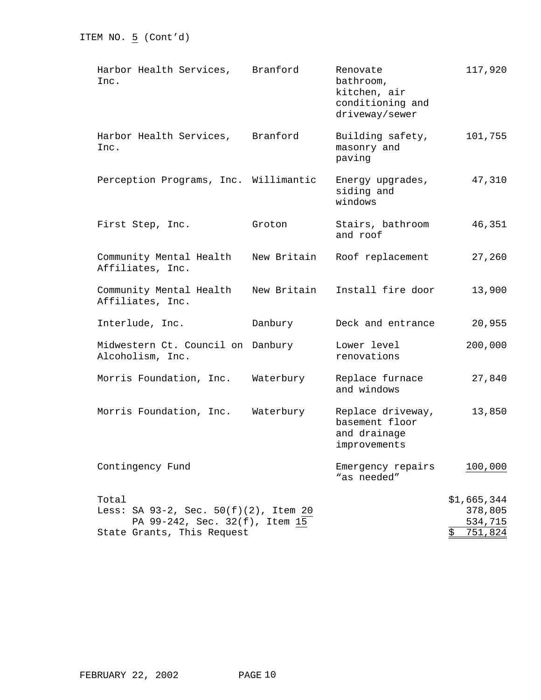| Harbor Health Services,<br>Inc.                                                                                | Branford    | Renovate<br>bathroom,<br>kitchen, air<br>conditioning and<br>driveway/sewer | 117,920                                            |
|----------------------------------------------------------------------------------------------------------------|-------------|-----------------------------------------------------------------------------|----------------------------------------------------|
| Harbor Health Services, Branford<br>Inc.                                                                       |             | Building safety,<br>masonry and<br>paving                                   | 101,755                                            |
| Perception Programs, Inc. Willimantic                                                                          |             | Energy upgrades,<br>siding and<br>windows                                   | 47,310                                             |
| First Step, Inc.                                                                                               | Groton      | Stairs, bathroom<br>and roof                                                | 46,351                                             |
| Community Mental Health<br>Affiliates, Inc.                                                                    | New Britain | Roof replacement                                                            | 27,260                                             |
| Community Mental Health<br>Affiliates, Inc.                                                                    | New Britain | Install fire door                                                           | 13,900                                             |
| Interlude, Inc.                                                                                                | Danbury     | Deck and entrance                                                           | 20,955                                             |
| Midwestern Ct. Council on Danbury<br>Alcoholism, Inc.                                                          |             | Lower level<br>renovations                                                  | 200,000                                            |
| Morris Foundation, Inc.                                                                                        | Waterbury   | Replace furnace<br>and windows                                              | 27,840                                             |
| Morris Foundation, Inc.                                                                                        | Waterbury   | Replace driveway,<br>basement floor<br>and drainage<br>improvements         | 13,850                                             |
| Contingency Fund                                                                                               |             | Emergency repairs<br>"as needed"                                            | 100,000                                            |
| Total<br>Less: SA 93-2, Sec. 50(f)(2), Item 20<br>PA 99-242, Sec. 32(f), Item 15<br>State Grants, This Request |             |                                                                             | \$1,665,344<br>378,805<br>534,715<br>\$<br>751,824 |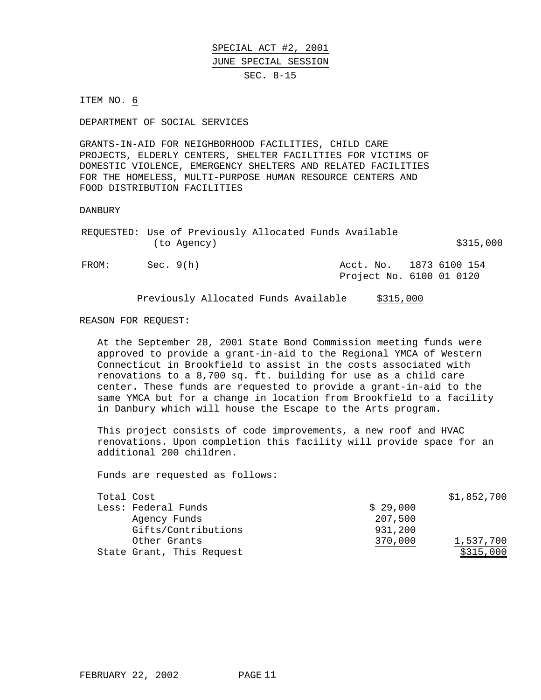SPECIAL ACT #2, 2001 JUNE SPECIAL SESSION SEC. 8-15

ITEM NO. 6

DEPARTMENT OF SOCIAL SERVICES

GRANTS-IN-AID FOR NEIGHBORHOOD FACILITIES, CHILD CARE PROJECTS, ELDERLY CENTERS, SHELTER FACILITIES FOR VICTIMS OF DOMESTIC VIOLENCE, EMERGENCY SHELTERS AND RELATED FACILITIES FOR THE HOMELESS, MULTI-PURPOSE HUMAN RESOURCE CENTERS AND FOOD DISTRIBUTION FACILITIES

DANBURY

|       |             | REQUESTED: Use of Previously Allocated Funds Available |                          |
|-------|-------------|--------------------------------------------------------|--------------------------|
|       | (to Agency) |                                                        | \$315,000                |
| FROM: | Sec. 9(h)   |                                                        | Acct. No. 1873 6100 154  |
|       |             |                                                        | Project No. 6100 01 0120 |

Previously Allocated Funds Available \$315,000

#### REASON FOR REQUEST:

At the September 28, 2001 State Bond Commission meeting funds were approved to provide a grant-in-aid to the Regional YMCA of Western Connecticut in Brookfield to assist in the costs associated with renovations to a 8,700 sq. ft. building for use as a child care center. These funds are requested to provide a grant-in-aid to the same YMCA but for a change in location from Brookfield to a facility in Danbury which will house the Escape to the Arts program.

This project consists of code improvements, a new roof and HVAC renovations. Upon completion this facility will provide space for an additional 200 children.

| Total Cost |                           |          | \$1,852,700 |
|------------|---------------------------|----------|-------------|
|            | Less: Federal Funds       | \$29.000 |             |
|            | Agency Funds              | 207,500  |             |
|            | Gifts/Contributions       | 931,200  |             |
|            | Other Grants              | 370,000  | 1,537,700   |
|            | State Grant, This Request |          | \$315,000   |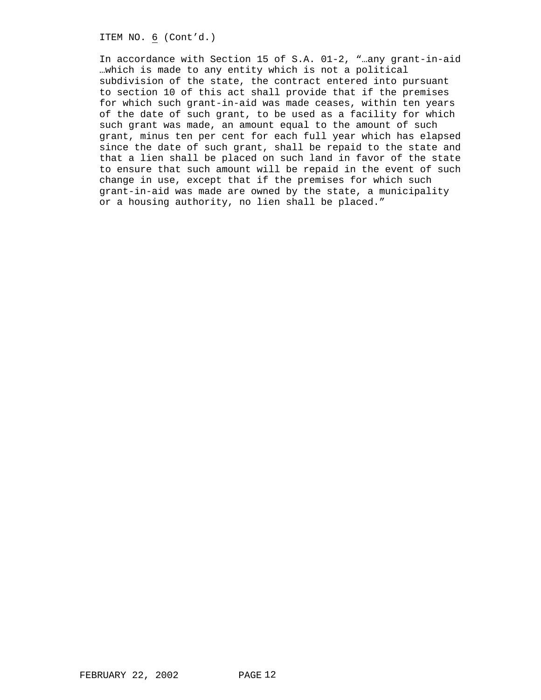ITEM NO. 6 (Cont'd.)

In accordance with Section 15 of S.A. 01-2, "…any grant-in-aid …which is made to any entity which is not a political subdivision of the state, the contract entered into pursuant to section 10 of this act shall provide that if the premises for which such grant-in-aid was made ceases, within ten years of the date of such grant, to be used as a facility for which such grant was made, an amount equal to the amount of such grant, minus ten per cent for each full year which has elapsed since the date of such grant, shall be repaid to the state and that a lien shall be placed on such land in favor of the state to ensure that such amount will be repaid in the event of such change in use, except that if the premises for which such grant-in-aid was made are owned by the state, a municipality or a housing authority, no lien shall be placed."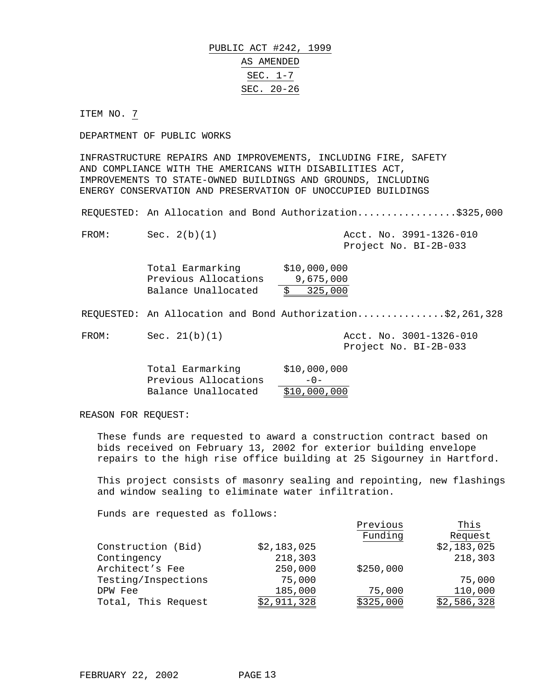# PUBLIC ACT #242, 1999 AS AMENDED SEC. 1-7 SEC. 20-26

ITEM NO. 7

DEPARTMENT OF PUBLIC WORKS

INFRASTRUCTURE REPAIRS AND IMPROVEMENTS, INCLUDING FIRE, SAFETY AND COMPLIANCE WITH THE AMERICANS WITH DISABILITIES ACT, IMPROVEMENTS TO STATE-OWNED BUILDINGS AND GROUNDS, INCLUDING ENERGY CONSERVATION AND PRESERVATION OF UNOCCUPIED BUILDINGS

REQUESTED: An Allocation and Bond Authorization.................\$325,000

FROM: Sec. 2(b)(1) Acct. No. 3991-1326-010 Project No. BI-2B-033

| Total Earmarking     | \$10,000,000 |
|----------------------|--------------|
| Previous Allocations | 9,675,000    |
| Balance Unallocated  | \$325,000    |

REQUESTED: An Allocation and Bond Authorization..............\$2,261,328

FROM: Sec. 21(b)(1) Acct. No. 3001-1326-010

Project No. BI-2B-033

Previous

| Total Earmarking     | \$10,000,000 |
|----------------------|--------------|
| Previous Allocations | $-0-$        |
| Balance Unallocated  | \$10,000,000 |

REASON FOR REQUEST:

These funds are requested to award a construction contract based on bids received on February 13, 2002 for exterior building envelope repairs to the high rise office building at 25 Sigourney in Hartford.

This project consists of masonry sealing and repointing, new flashings and window sealing to eliminate water infiltration.

|                     |             | Previous  | This        |
|---------------------|-------------|-----------|-------------|
|                     |             | Funding   | Request     |
| Construction (Bid)  | \$2,183,025 |           | \$2,183,025 |
| Contingency         | 218,303     |           | 218,303     |
| Architect's Fee     | 250,000     | \$250,000 |             |
| Testing/Inspections | 75,000      |           | 75,000      |
| DPW Fee             | 185,000     | 75,000    | 110,000     |
| Total, This Request | \$2,911,328 | \$325,000 | \$2,586,328 |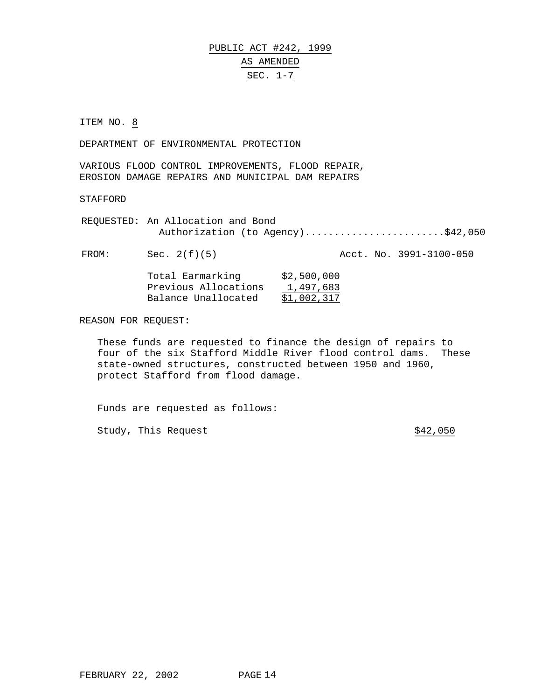# PUBLIC ACT #242, 1999 AS AMENDED SEC. 1-7

ITEM NO. 8

DEPARTMENT OF ENVIRONMENTAL PROTECTION

VARIOUS FLOOD CONTROL IMPROVEMENTS, FLOOD REPAIR, EROSION DAMAGE REPAIRS AND MUNICIPAL DAM REPAIRS

STAFFORD

REQUESTED: An Allocation and Bond Authorization (to Agency)..........................\$42,050

FROM: Sec. 2(f)(5) Acct. No. 3991-3100-050

| Total Earmarking     | \$2,500,000 |
|----------------------|-------------|
| Previous Allocations | 1,497,683   |
| Balance Unallocated  | \$1,002,317 |

REASON FOR REQUEST:

These funds are requested to finance the design of repairs to four of the six Stafford Middle River flood control dams. These state-owned structures, constructed between 1950 and 1960, protect Stafford from flood damage.

Funds are requested as follows:

Study, This Request  $$42,050$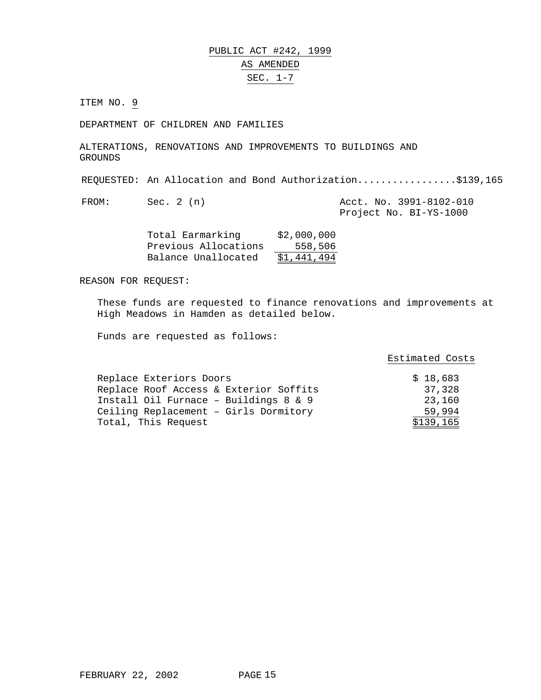PUBLIC ACT #242, 1999 AS AMENDED SEC. 1-7

ITEM NO. 9

DEPARTMENT OF CHILDREN AND FAMILIES

ALTERATIONS, RENOVATIONS AND IMPROVEMENTS TO BUILDINGS AND GROUNDS

REQUESTED: An Allocation and Bond Authorization.................\$139,165

FROM: Sec. 2 (n) Acct. No. 3991-8102-010 Project No. BI-YS-1000

| Total Earmarking     | \$2,000,000 |
|----------------------|-------------|
| Previous Allocations | 558,506     |
| Balance Unallocated  | \$1,441,494 |

REASON FOR REQUEST:

These funds are requested to finance renovations and improvements at High Meadows in Hamden as detailed below.

|                                        | Estimated Costs |
|----------------------------------------|-----------------|
| Replace Exteriors Doors                | \$18,683        |
| Replace Roof Access & Exterior Soffits | 37,328          |
| Install Oil Furnace - Buildings 8 & 9  | 23,160          |
| Ceiling Replacement - Girls Dormitory  | 59,994          |
| Total, This Request                    | \$139,165       |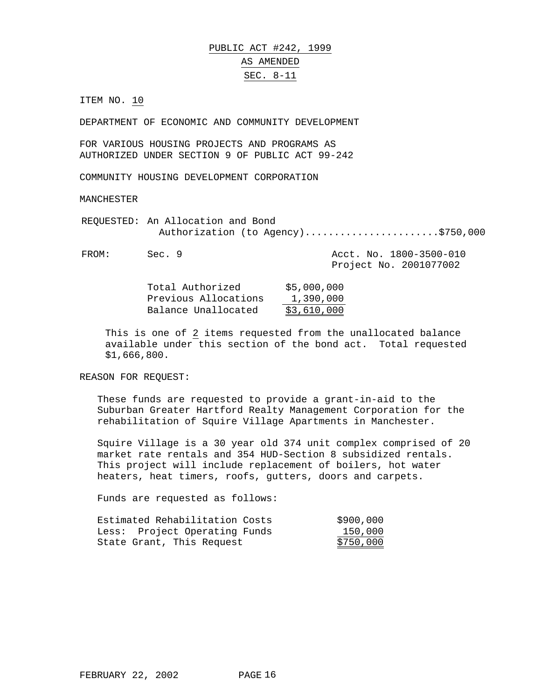# PUBLIC ACT #242, 1999 AS AMENDED SEC. 8-11

ITEM NO. 10

DEPARTMENT OF ECONOMIC AND COMMUNITY DEVELOPMENT

FOR VARIOUS HOUSING PROJECTS AND PROGRAMS AS AUTHORIZED UNDER SECTION 9 OF PUBLIC ACT 99-242

COMMUNITY HOUSING DEVELOPMENT CORPORATION

MANCHESTER

REQUESTED: An Allocation and Bond Authorization (to Agency)..........................\$750,000

FROM: Sec. 9 Acct. No. 1800-3500-010 Project No. 2001077002

> Total Authorized \$5,000,000 Previous Allocations 1,390,000 Balance Unallocated \$3,610,000

This is one of 2 items requested from the unallocated balance available under this section of the bond act. Total requested \$1,666,800.

REASON FOR REQUEST:

These funds are requested to provide a grant-in-aid to the Suburban Greater Hartford Realty Management Corporation for the rehabilitation of Squire Village Apartments in Manchester.

Squire Village is a 30 year old 374 unit complex comprised of 20 market rate rentals and 354 HUD-Section 8 subsidized rentals. This project will include replacement of boilers, hot water heaters, heat timers, roofs, gutters, doors and carpets.

| Estimated Rehabilitation Costs | \$900,000 |
|--------------------------------|-----------|
| Less: Project Operating Funds  | 150,000   |
| State Grant, This Request      | \$750,000 |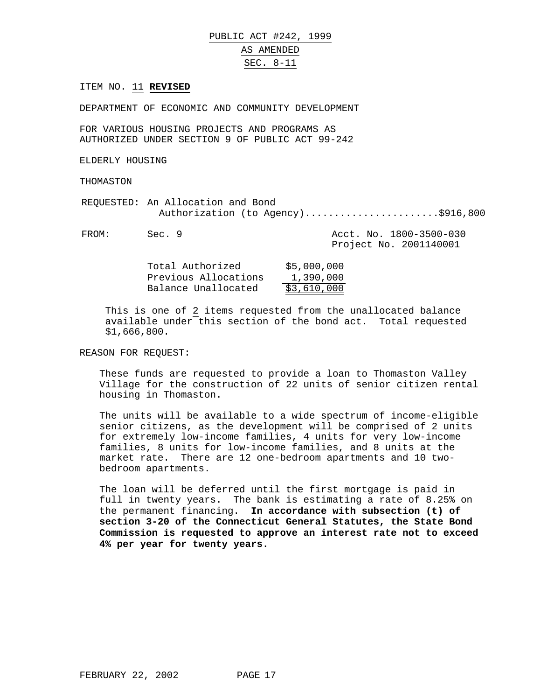## PUBLIC ACT #242, 1999 AS AMENDED SEC. 8-11

#### ITEM NO. 11 **REVISED**

DEPARTMENT OF ECONOMIC AND COMMUNITY DEVELOPMENT

FOR VARIOUS HOUSING PROJECTS AND PROGRAMS AS AUTHORIZED UNDER SECTION 9 OF PUBLIC ACT 99-242

ELDERLY HOUSING

THOMASTON

REQUESTED: An Allocation and Bond Authorization (to Agency).........................\$916,800

| FROM: | Sec. 9 |  | Acct. No. 1800-3500-030 |
|-------|--------|--|-------------------------|
|       |        |  | Project No. 2001140001  |

| Total Authorized     | \$5,000,000 |
|----------------------|-------------|
| Previous Allocations | 1,390,000   |
| Balance Unallocated  | \$3,610,000 |

This is one of 2 items requested from the unallocated balance available under this section of the bond act. Total requested \$1,666,800.

REASON FOR REQUEST:

These funds are requested to provide a loan to Thomaston Valley Village for the construction of 22 units of senior citizen rental housing in Thomaston.

The units will be available to a wide spectrum of income-eligible senior citizens, as the development will be comprised of 2 units for extremely low-income families, 4 units for very low-income families, 8 units for low-income families, and 8 units at the market rate. There are 12 one-bedroom apartments and 10 twobedroom apartments.

The loan will be deferred until the first mortgage is paid in full in twenty years. The bank is estimating a rate of 8.25% on the permanent financing. **In accordance with subsection (t) of section 3-20 of the Connecticut General Statutes, the State Bond Commission is requested to approve an interest rate not to exceed 4% per year for twenty years.**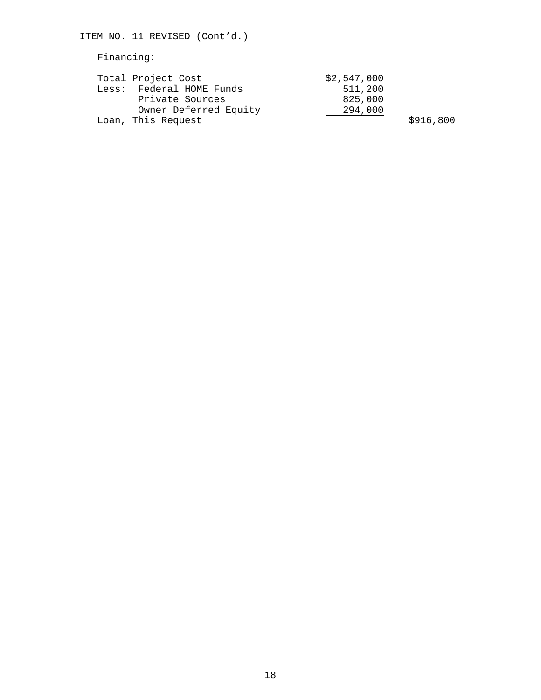| ITEM NO. 11 REVISED (Cont'd.)                                                              |                                              |
|--------------------------------------------------------------------------------------------|----------------------------------------------|
| Financing:                                                                                 |                                              |
| Total Project Cost<br>Less: Federal HOME Funds<br>Private Sources<br>Owner Deferred Equity | \$2,547,000<br>511,200<br>825,000<br>294,000 |
| Loan, This Request                                                                         |                                              |

\$916,800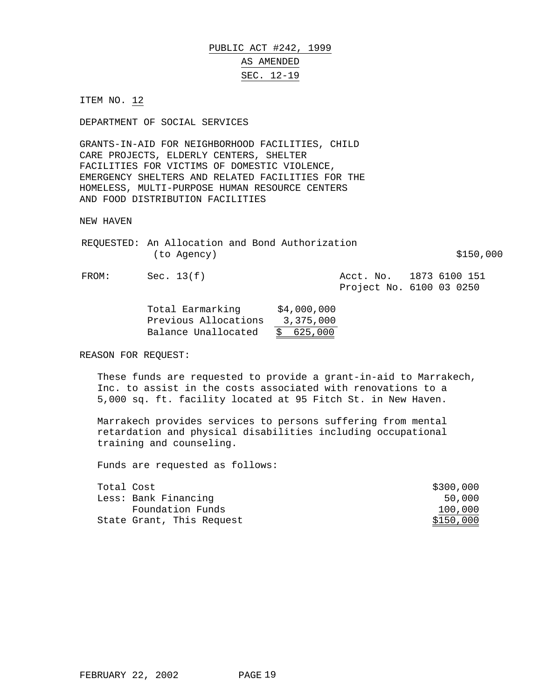PUBLIC ACT #242, 1999 AS AMENDED SEC. 12-19

ITEM NO. 12

DEPARTMENT OF SOCIAL SERVICES

GRANTS-IN-AID FOR NEIGHBORHOOD FACILITIES, CHILD CARE PROJECTS, ELDERLY CENTERS, SHELTER FACILITIES FOR VICTIMS OF DOMESTIC VIOLENCE, EMERGENCY SHELTERS AND RELATED FACILITIES FOR THE HOMELESS, MULTI-PURPOSE HUMAN RESOURCE CENTERS AND FOOD DISTRIBUTION FACILITIES

NEW HAVEN

| REQUESTED: An Allocation and Bond Authorization |  |           |
|-------------------------------------------------|--|-----------|
| (to Agency)                                     |  | \$150,000 |

FROM: Sec. 13(f)  $3(f)$  Acct. No. 1873 6100 151 Project No. 6100 03 0250

| Total Earmarking     | \$4,000,000 |
|----------------------|-------------|
| Previous Allocations | 3,375,000   |
| Balance Unallocated  | \$625,000   |

REASON FOR REQUEST:

These funds are requested to provide a grant-in-aid to Marrakech, Inc. to assist in the costs associated with renovations to a 5,000 sq. ft. facility located at 95 Fitch St. in New Haven.

Marrakech provides services to persons suffering from mental retardation and physical disabilities including occupational training and counseling.

| Total Cost |                           | \$300,000 |
|------------|---------------------------|-----------|
|            | Less: Bank Financing      | 50,000    |
|            | Foundation Funds          | 100,000   |
|            | State Grant, This Request | \$150,000 |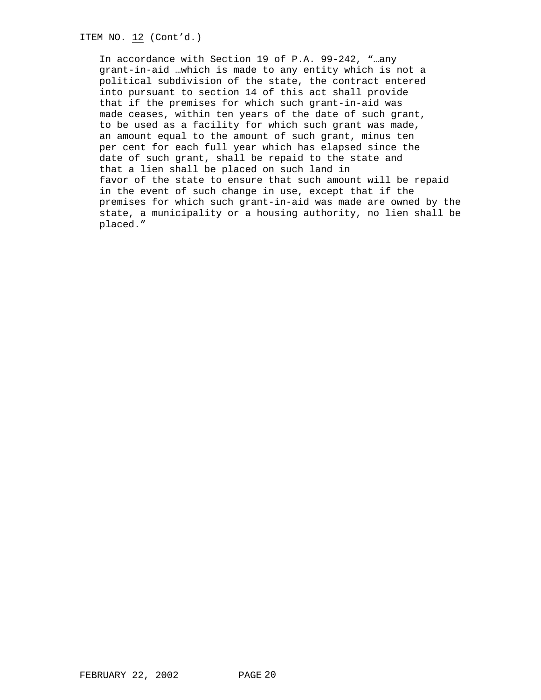ITEM NO. 12 (Cont'd.)

In accordance with Section 19 of P.A. 99-242, "…any grant-in-aid …which is made to any entity which is not a political subdivision of the state, the contract entered into pursuant to section 14 of this act shall provide that if the premises for which such grant-in-aid was made ceases, within ten years of the date of such grant, to be used as a facility for which such grant was made, an amount equal to the amount of such grant, minus ten per cent for each full year which has elapsed since the date of such grant, shall be repaid to the state and that a lien shall be placed on such land in favor of the state to ensure that such amount will be repaid in the event of such change in use, except that if the premises for which such grant-in-aid was made are owned by the state, a municipality or a housing authority, no lien shall be placed."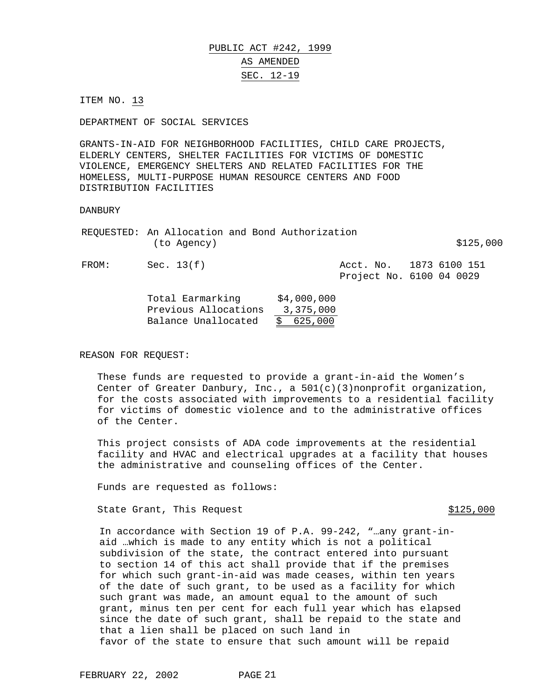These funds are requested to provide a grant-in-aid the Women's Center of Greater Danbury, Inc., a 501(c)(3)nonprofit organization, for the costs associated with improvements to a residential facility for victims of domestic violence and to the administrative offices

of the Center. This project consists of ADA code improvements at the residential facility and HVAC and electrical upgrades at a facility that houses

the administrative and counseling offices of the Center.

Funds are requested as follows:

State Grant, This Request  $\frac{125,000}{200}$ 

aid …which is made to any entity which is not a political subdivision of the state, the contract entered into pursuant to section 14 of this act shall provide that if the premises for which such grant-in-aid was made ceases, within ten years of the date of such grant, to be used as a facility for which such grant was made, an amount equal to the amount of such grant, minus ten per cent for each full year which has elapsed since the date of such grant, shall be repaid to the state and that a lien shall be placed on such land in favor of the state to ensure that such amount will be repaid

In accordance with Section 19 of P.A. 99-242, "…any grant-in-

# PUBLIC ACT #242, 1999 AS AMENDED SEC. 12-19

ITEM NO. 13

DEPARTMENT OF SOCIAL SERVICES

GRANTS-IN-AID FOR NEIGHBORHOOD FACILITIES, CHILD CARE PROJECTS, ELDERLY CENTERS, SHELTER FACILITIES FOR VICTIMS OF DOMESTIC VIOLENCE, EMERGENCY SHELTERS AND RELATED FACILITIES FOR THE HOMELESS, MULTI-PURPOSE HUMAN RESOURCE CENTERS AND FOOD DISTRIBUTION FACILITIES

#### DANBURY

REASON FOR REQUEST:

REQUESTED: An Allocation and Bond Authorization  $(to \text{ Agency})$   $$125,000$ FROM: Sec. 13(f) Recrease Matches Acct. No. 1873 6100 151 Project No. 6100 04 0029 Total Earmarking \$4,000,000 Previous Allocations 3,375,000 Balance Unallocated \$ 625,000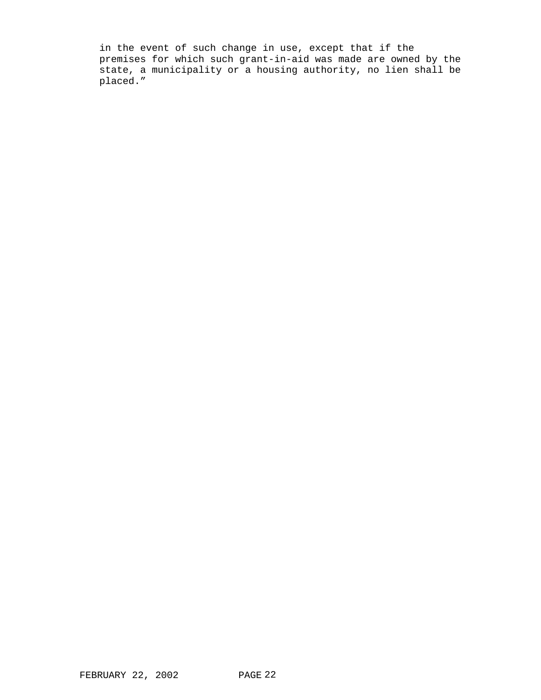in the event of such change in use, except that if the premises for which such grant-in-aid was made are owned by the state, a municipality or a housing authority, no lien shall be placed."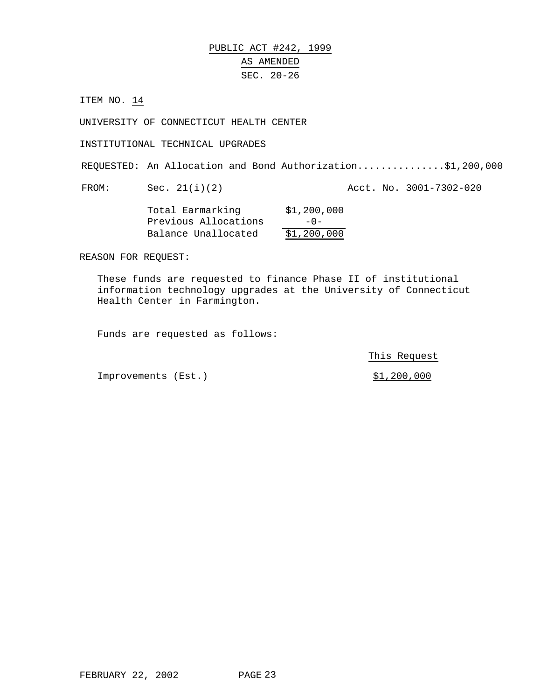# PUBLIC ACT #242, 1999 AS AMENDED SEC. 20-26

ITEM NO. 14

UNIVERSITY OF CONNECTICUT HEALTH CENTER

INSTITUTIONAL TECHNICAL UPGRADES

REQUESTED: An Allocation and Bond Authorization...............\$1,200,000

FROM: Sec. 21(i)(2) Acct. No. 3001-7302-020

Total Earmarking \$1,200,000 Previous Allocations -0-Balance Unallocated \$1,200,000

REASON FOR REQUEST:

These funds are requested to finance Phase II of institutional information technology upgrades at the University of Connecticut Health Center in Farmington.

Funds are requested as follows:

This Request

Improvements (Est.)  $$1,200,000$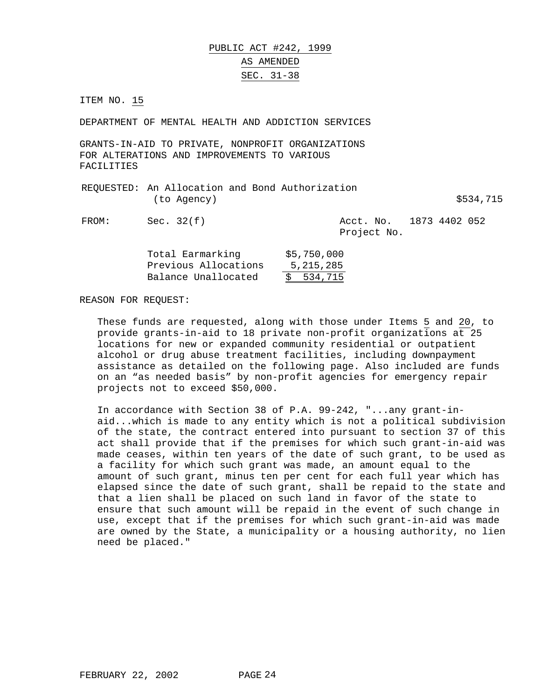PUBLIC ACT #242, 1999 AS AMENDED SEC. 31-38

ITEM NO. 15

DEPARTMENT OF MENTAL HEALTH AND ADDICTION SERVICES

GRANTS-IN-AID TO PRIVATE, NONPROFIT ORGANIZATIONS FOR ALTERATIONS AND IMPROVEMENTS TO VARIOUS FACILITIES

| REQUESTED: An Allocation and Bond Authorization |  |           |
|-------------------------------------------------|--|-----------|
| (to Agency)                                     |  | \$534,715 |

FROM: Sec. 32(f) Recrease Matchester Acct. No. 1873 4402 052 Project No.

| Total Earmarking     | \$5,750,000 |
|----------------------|-------------|
| Previous Allocations | 5, 215, 285 |
| Balance Unallocated  | \$534,715   |

REASON FOR REQUEST:

These funds are requested, along with those under Items 5 and 20, to provide grants-in-aid to 18 private non-profit organizations at 25 locations for new or expanded community residential or outpatient alcohol or drug abuse treatment facilities, including downpayment assistance as detailed on the following page. Also included are funds on an "as needed basis" by non-profit agencies for emergency repair projects not to exceed \$50,000.

In accordance with Section 38 of P.A. 99-242, "...any grant-inaid...which is made to any entity which is not a political subdivision of the state, the contract entered into pursuant to section 37 of this act shall provide that if the premises for which such grant-in-aid was made ceases, within ten years of the date of such grant, to be used as a facility for which such grant was made, an amount equal to the amount of such grant, minus ten per cent for each full year which has elapsed since the date of such grant, shall be repaid to the state and that a lien shall be placed on such land in favor of the state to ensure that such amount will be repaid in the event of such change in use, except that if the premises for which such grant-in-aid was made are owned by the State, a municipality or a housing authority, no lien need be placed."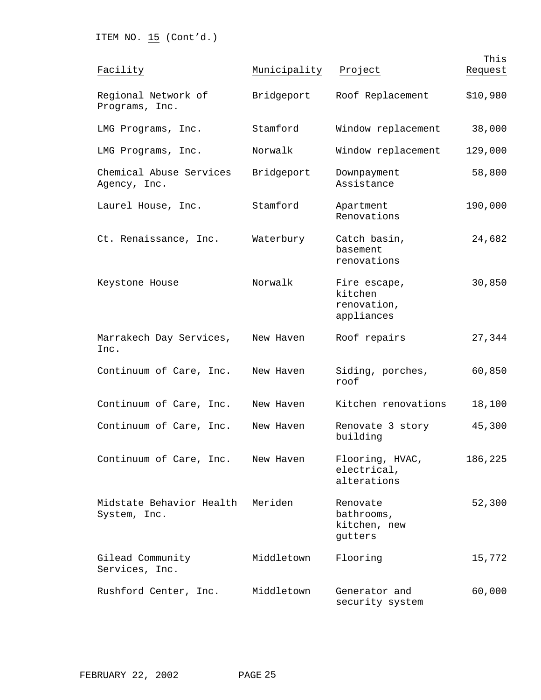ITEM NO.  $15$  (Cont'd.)

| Facility                                 | Municipality | Project                                              | This<br>Request |
|------------------------------------------|--------------|------------------------------------------------------|-----------------|
| Regional Network of<br>Programs, Inc.    | Bridgeport   | Roof Replacement                                     | \$10,980        |
| LMG Programs, Inc.                       | Stamford     | Window replacement                                   | 38,000          |
| LMG Programs, Inc.                       | Norwalk      | Window replacement                                   | 129,000         |
| Chemical Abuse Services<br>Agency, Inc.  | Bridgeport   | Downpayment<br>Assistance                            | 58,800          |
| Laurel House, Inc.                       | Stamford     | Apartment<br>Renovations                             | 190,000         |
| Ct. Renaissance, Inc.                    | Waterbury    | Catch basin,<br>basement<br>renovations              | 24,682          |
| Keystone House                           | Norwalk      | Fire escape,<br>kitchen<br>renovation,<br>appliances | 30,850          |
| Marrakech Day Services,<br>Inc.          | New Haven    | Roof repairs                                         | 27,344          |
| Continuum of Care, Inc.                  | New Haven    | Siding, porches,<br>roof                             | 60,850          |
| Continuum of Care, Inc.                  | New Haven    | Kitchen renovations                                  | 18,100          |
| Continuum of Care, Inc.                  | New Haven    | Renovate 3 story<br>building                         | 45,300          |
| Continuum of Care, Inc.                  | New Haven    | Flooring, HVAC,<br>electrical,<br>alterations        | 186,225         |
| Midstate Behavior Health<br>System, Inc. | Meriden      | Renovate<br>bathrooms,<br>kitchen, new<br>gutters    | 52,300          |
| Gilead Community<br>Services, Inc.       | Middletown   | Flooring                                             | 15,772          |
| Rushford Center, Inc.                    | Middletown   | Generator and<br>security system                     | 60,000          |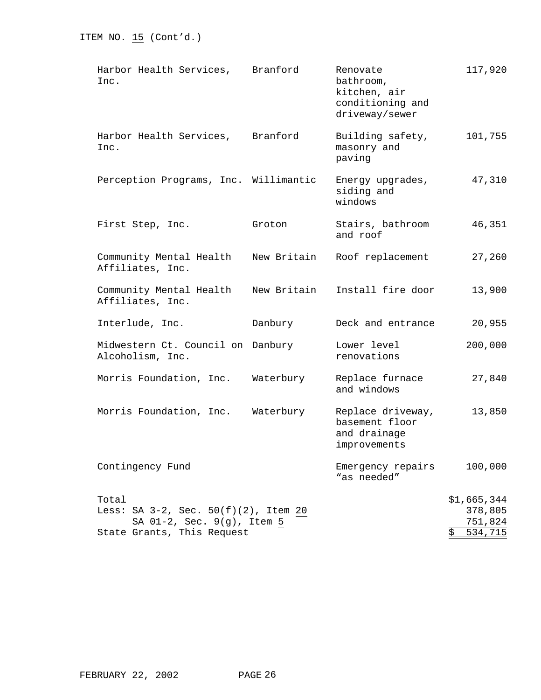| Harbor Health Services, Branford<br>Inc.                                                                  |             | Renovate<br>bathroom,<br>kitchen, air<br>conditioning and<br>driveway/sewer | 117,920                                            |
|-----------------------------------------------------------------------------------------------------------|-------------|-----------------------------------------------------------------------------|----------------------------------------------------|
| Harbor Health Services,<br>Inc.                                                                           | Branford    | Building safety,<br>masonry and<br>paving                                   | 101,755                                            |
| Perception Programs, Inc. Willimantic                                                                     |             | Energy upgrades,<br>siding and<br>windows                                   | 47,310                                             |
| First Step, Inc.                                                                                          | Groton      | Stairs, bathroom<br>and roof                                                | 46,351                                             |
| Community Mental Health<br>Affiliates, Inc.                                                               | New Britain | Roof replacement                                                            | 27,260                                             |
| Community Mental Health<br>Affiliates, Inc.                                                               | New Britain | Install fire door                                                           | 13,900                                             |
| Interlude, Inc.                                                                                           | Danbury     | Deck and entrance                                                           | 20,955                                             |
| Midwestern Ct. Council on Danbury<br>Alcoholism, Inc.                                                     |             | Lower level<br>renovations                                                  | 200,000                                            |
| Morris Foundation, Inc.                                                                                   | Waterbury   | Replace furnace<br>and windows                                              | 27,840                                             |
| Morris Foundation, Inc.                                                                                   | Waterbury   | Replace driveway,<br>basement floor<br>and drainage<br>improvements         | 13,850                                             |
| Contingency Fund                                                                                          |             | Emergency repairs<br>"as needed"                                            | 100,000                                            |
| Total<br>Less: SA 3-2, Sec. 50(f)(2), Item 20<br>SA 01-2, Sec. 9(g), Item 5<br>State Grants, This Request |             |                                                                             | \$1,665,344<br>378,805<br>751,824<br>534,715<br>\$ |

ITEM NO.  $15$  (Cont'd.)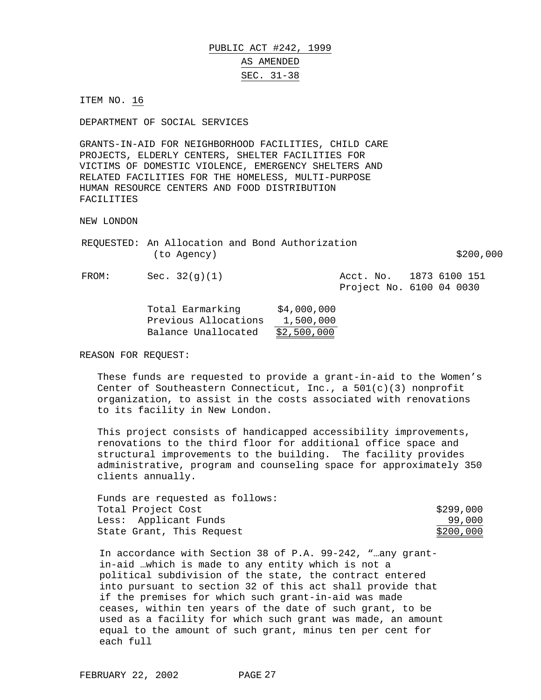# PUBLIC ACT #242, 1999 AS AMENDED SEC. 31-38

ITEM NO. 16

DEPARTMENT OF SOCIAL SERVICES

GRANTS-IN-AID FOR NEIGHBORHOOD FACILITIES, CHILD CARE PROJECTS, ELDERLY CENTERS, SHELTER FACILITIES FOR VICTIMS OF DOMESTIC VIOLENCE, EMERGENCY SHELTERS AND RELATED FACILITIES FOR THE HOMELESS, MULTI-PURPOSE HUMAN RESOURCE CENTERS AND FOOD DISTRIBUTION FACILITIES

NEW LONDON

|       | (to Agency)     | REQUESTED: An Allocation and Bond Authorization | \$200,000                                           |
|-------|-----------------|-------------------------------------------------|-----------------------------------------------------|
| FROM: | Sec. $32(q)(1)$ |                                                 | Acct. No. 1873 6100 151<br>Project No. 6100 04 0030 |

| Total Earmarking     | \$4,000,000 |
|----------------------|-------------|
| Previous Allocations | 1,500,000   |
| Balance Unallocated  | \$2,500,000 |

REASON FOR REQUEST:

These funds are requested to provide a grant-in-aid to the Women's Center of Southeastern Connecticut, Inc., a 501(c)(3) nonprofit organization, to assist in the costs associated with renovations to its facility in New London.

This project consists of handicapped accessibility improvements, renovations to the third floor for additional office space and structural improvements to the building. The facility provides administrative, program and counseling space for approximately 350 clients annually.

| Funds are requested as follows: |           |
|---------------------------------|-----------|
| Total Project Cost              | \$299,000 |
| Less: Applicant Funds           | 99,000    |
| State Grant, This Request       | \$200,000 |

In accordance with Section 38 of P.A. 99-242, "…any grantin-aid …which is made to any entity which is not a political subdivision of the state, the contract entered into pursuant to section 32 of this act shall provide that if the premises for which such grant-in-aid was made ceases, within ten years of the date of such grant, to be used as a facility for which such grant was made, an amount equal to the amount of such grant, minus ten per cent for each full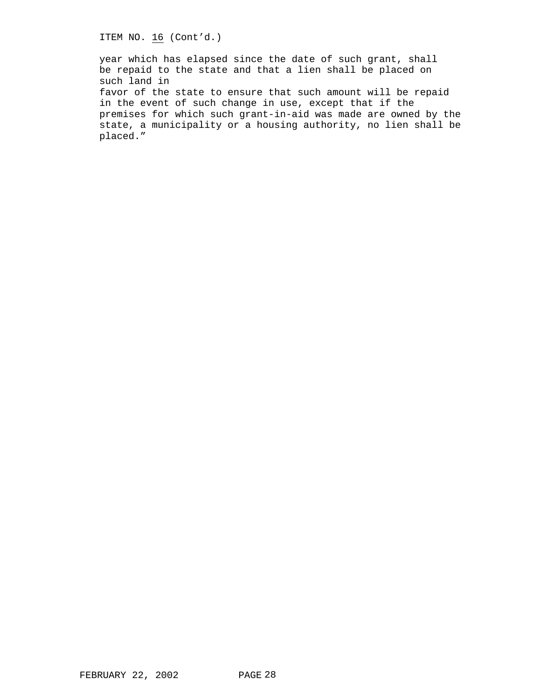ITEM NO. 16 (Cont'd.)

year which has elapsed since the date of such grant, shall be repaid to the state and that a lien shall be placed on such land in

favor of the state to ensure that such amount will be repaid in the event of such change in use, except that if the premises for which such grant-in-aid was made are owned by the state, a municipality or a housing authority, no lien shall be placed."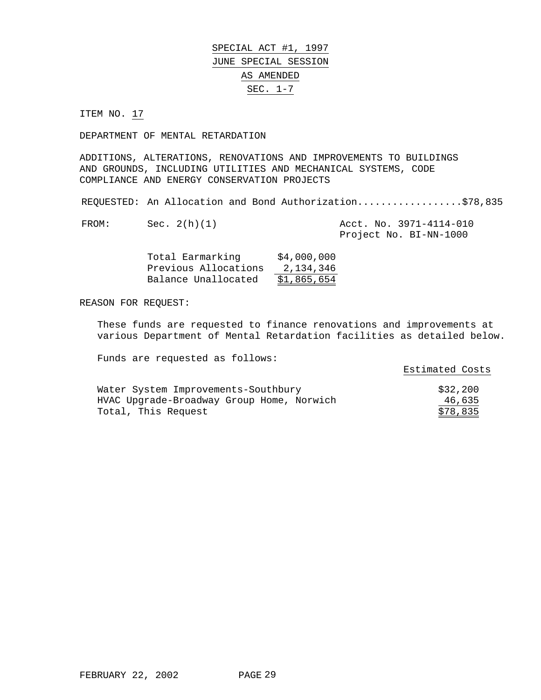# SPECIAL ACT #1, 1997 JUNE SPECIAL SESSION AS AMENDED SEC. 1-7

ITEM NO. 17

DEPARTMENT OF MENTAL RETARDATION

ADDITIONS, ALTERATIONS, RENOVATIONS AND IMPROVEMENTS TO BUILDINGS AND GROUNDS, INCLUDING UTILITIES AND MECHANICAL SYSTEMS, CODE COMPLIANCE AND ENERGY CONSERVATION PROJECTS

REQUESTED: An Allocation and Bond Authorization...................\$78,835

| FROM: | Sec. 2(h)(1) |  | Acct. No. 3971-4114-010 |
|-------|--------------|--|-------------------------|
|       |              |  | Project No. BI-NN-1000  |

| Total Earmarking     | \$4,000,000 |
|----------------------|-------------|
| Previous Allocations | 2,134,346   |
| Balance Unallocated  | \$1,865,654 |

REASON FOR REQUEST:

These funds are requested to finance renovations and improvements at various Department of Mental Retardation facilities as detailed below.

|                                           | Estimated Costs |
|-------------------------------------------|-----------------|
|                                           |                 |
| Water System Improvements-Southbury       | \$32,200        |
| HVAC Upgrade-Broadway Group Home, Norwich | 46,635          |
| Total, This Request                       | \$78,835        |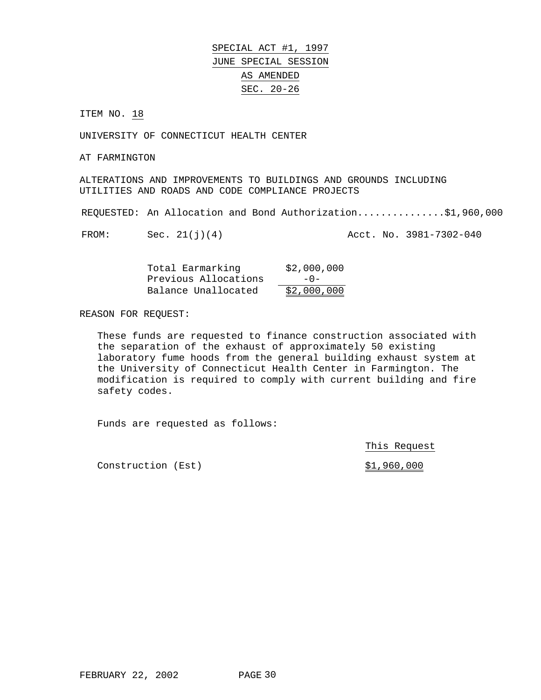SPECIAL ACT #1, 1997 JUNE SPECIAL SESSION AS AMENDED SEC. 20-26

ITEM NO. 18

UNIVERSITY OF CONNECTICUT HEALTH CENTER

AT FARMINGTON

ALTERATIONS AND IMPROVEMENTS TO BUILDINGS AND GROUNDS INCLUDING UTILITIES AND ROADS AND CODE COMPLIANCE PROJECTS

REQUESTED: An Allocation and Bond Authorization...............\$1,960,000

FROM: Sec. 21(j)(4) Acct. No. 3981-7302-040

| Total Earmarking     | \$2,000,000 |
|----------------------|-------------|
| Previous Allocations | $-0-$       |
| Balance Unallocated  | \$2,000,000 |

REASON FOR REQUEST:

These funds are requested to finance construction associated with the separation of the exhaust of approximately 50 existing laboratory fume hoods from the general building exhaust system at the University of Connecticut Health Center in Farmington. The modification is required to comply with current building and fire safety codes.

Funds are requested as follows:

This Request

Construction (Est)  $$1,960,000$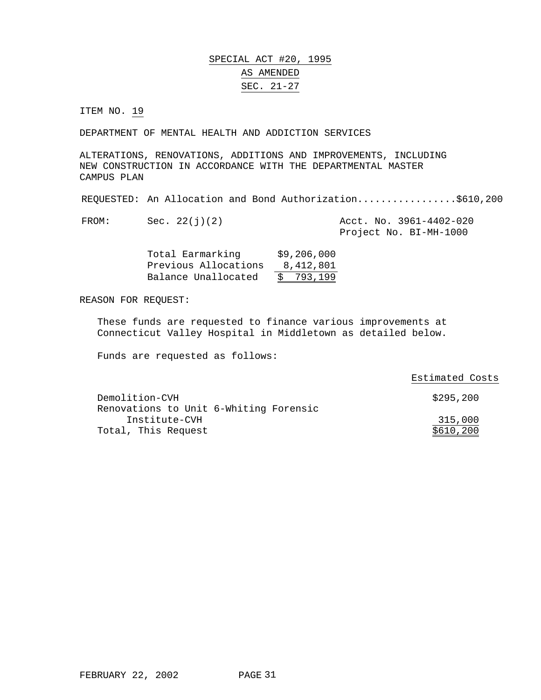## SPECIAL ACT #20, 1995 AS AMENDED SEC. 21-27

ITEM NO. 19

DEPARTMENT OF MENTAL HEALTH AND ADDICTION SERVICES

ALTERATIONS, RENOVATIONS, ADDITIONS AND IMPROVEMENTS, INCLUDING NEW CONSTRUCTION IN ACCORDANCE WITH THE DEPARTMENTAL MASTER CAMPUS PLAN

REQUESTED: An Allocation and Bond Authorization.................\$610,200

FROM: Sec. 22(j)(2) Acct. No. 3961-4402-020 Project No. BI-MH-1000

| Total Earmarking     | \$9,206,000 |
|----------------------|-------------|
| Previous Allocations | 8,412,801   |
| Balance Unallocated  | \$793,199   |

REASON FOR REQUEST:

These funds are requested to finance various improvements at Connecticut Valley Hospital in Middletown as detailed below.

|                                        | Estimated Costs |
|----------------------------------------|-----------------|
| Demolition-CVH                         | \$295,200       |
| Renovations to Unit 6-Whiting Forensic |                 |
| Institute-CVH                          | 315,000         |
| Total, This Request                    | \$610,200       |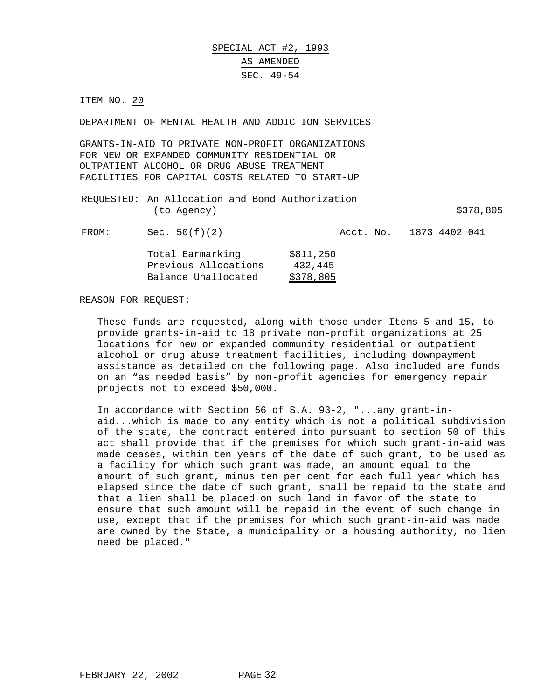# SPECIAL ACT #2, 1993 AS AMENDED SEC. 49-54

ITEM NO. 20

DEPARTMENT OF MENTAL HEALTH AND ADDICTION SERVICES

GRANTS-IN-AID TO PRIVATE NON-PROFIT ORGANIZATIONS FOR NEW OR EXPANDED COMMUNITY RESIDENTIAL OR OUTPATIENT ALCOHOL OR DRUG ABUSE TREATMENT FACILITIES FOR CAPITAL COSTS RELATED TO START-UP

|             | REQUESTED: An Allocation and Bond Authorization |           |
|-------------|-------------------------------------------------|-----------|
| (to Agency) |                                                 | \$378,805 |
|             |                                                 |           |

FROM: Sec. 50(f)(2) Acct. No. 1873 4402 041

| Total Earmarking     | \$811,250 |
|----------------------|-----------|
| Previous Allocations | 432,445   |
| Balance Unallocated  | \$378,805 |

REASON FOR REQUEST:

These funds are requested, along with those under Items 5 and 15, to provide grants-in-aid to 18 private non-profit organizations at 25 locations for new or expanded community residential or outpatient alcohol or drug abuse treatment facilities, including downpayment assistance as detailed on the following page. Also included are funds on an "as needed basis" by non-profit agencies for emergency repair projects not to exceed \$50,000.

In accordance with Section 56 of S.A. 93-2, "...any grant-inaid...which is made to any entity which is not a political subdivision of the state, the contract entered into pursuant to section 50 of this act shall provide that if the premises for which such grant-in-aid was made ceases, within ten years of the date of such grant, to be used as a facility for which such grant was made, an amount equal to the amount of such grant, minus ten per cent for each full year which has elapsed since the date of such grant, shall be repaid to the state and that a lien shall be placed on such land in favor of the state to ensure that such amount will be repaid in the event of such change in use, except that if the premises for which such grant-in-aid was made are owned by the State, a municipality or a housing authority, no lien need be placed."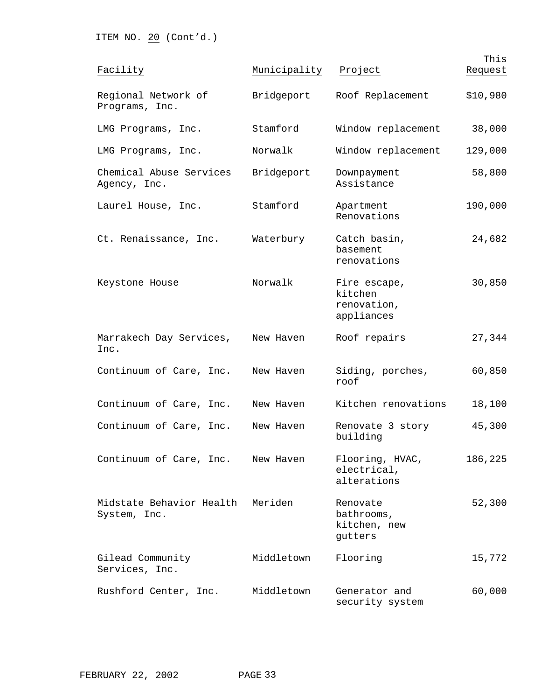ITEM NO. 20 (Cont'd.)

| Facility                                 | Municipality | Project                                              | This<br>Request |
|------------------------------------------|--------------|------------------------------------------------------|-----------------|
| Regional Network of<br>Programs, Inc.    | Bridgeport   | Roof Replacement                                     | \$10,980        |
| LMG Programs, Inc.                       | Stamford     | Window replacement                                   | 38,000          |
| LMG Programs, Inc.                       | Norwalk      | Window replacement                                   | 129,000         |
| Chemical Abuse Services<br>Agency, Inc.  | Bridgeport   | Downpayment<br>Assistance                            | 58,800          |
| Laurel House, Inc.                       | Stamford     | Apartment<br>Renovations                             | 190,000         |
| Ct. Renaissance, Inc.                    | Waterbury    | Catch basin,<br>basement<br>renovations              | 24,682          |
| Keystone House                           | Norwalk      | Fire escape,<br>kitchen<br>renovation,<br>appliances | 30,850          |
| Marrakech Day Services,<br>Inc.          | New Haven    | Roof repairs                                         | 27,344          |
| Continuum of Care, Inc.                  | New Haven    | Siding, porches,<br>roof                             | 60,850          |
| Continuum of Care, Inc.                  | New Haven    | Kitchen renovations                                  | 18,100          |
| Continuum of Care, Inc.                  | New Haven    | Renovate 3 story<br>building                         | 45,300          |
| Continuum of Care, Inc.                  | New Haven    | Flooring, HVAC,<br>electrical,<br>alterations        | 186,225         |
| Midstate Behavior Health<br>System, Inc. | Meriden      | Renovate<br>bathrooms,<br>kitchen, new<br>gutters    | 52,300          |
| Gilead Community<br>Services, Inc.       | Middletown   | Flooring                                             | 15,772          |
| Rushford Center, Inc.                    | Middletown   | Generator and<br>security system                     | 60,000          |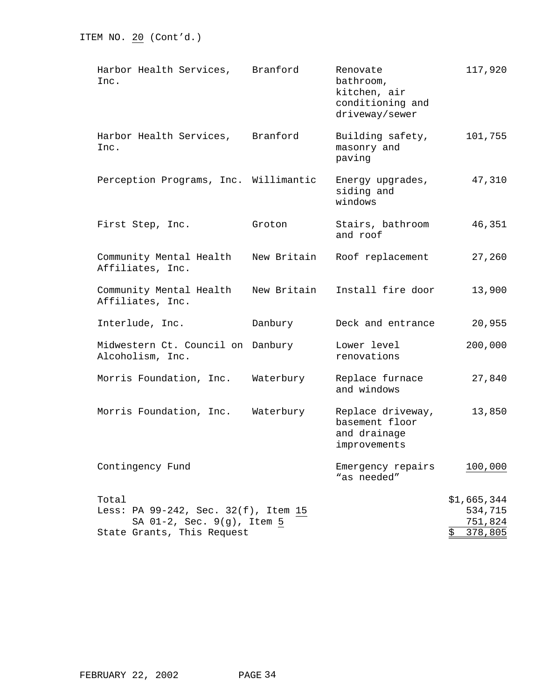| Harbor Health Services,<br>Inc.                                                                           | Branford    | Renovate<br>bathroom,<br>kitchen, air<br>conditioning and<br>driveway/sewer | 117,920                                            |
|-----------------------------------------------------------------------------------------------------------|-------------|-----------------------------------------------------------------------------|----------------------------------------------------|
| Harbor Health Services, Branford<br>Inc.                                                                  |             | Building safety,<br>masonry and<br>paving                                   | 101,755                                            |
| Perception Programs, Inc. Willimantic                                                                     |             | Energy upgrades,<br>siding and<br>windows                                   | 47,310                                             |
| First Step, Inc.                                                                                          | Groton      | Stairs, bathroom<br>and roof                                                | 46,351                                             |
| Community Mental Health<br>Affiliates, Inc.                                                               | New Britain | Roof replacement                                                            | 27,260                                             |
| Community Mental Health<br>Affiliates, Inc.                                                               | New Britain | Install fire door                                                           | 13,900                                             |
| Interlude, Inc.                                                                                           | Danbury     | Deck and entrance                                                           | 20,955                                             |
| Midwestern Ct. Council on Danbury<br>Alcoholism, Inc.                                                     |             | Lower level<br>renovations                                                  | 200,000                                            |
| Morris Foundation, Inc.                                                                                   | Waterbury   | Replace furnace<br>and windows                                              | 27,840                                             |
| Morris Foundation, Inc.                                                                                   | Waterbury   | Replace driveway,<br>basement floor<br>and drainage<br>improvements         | 13,850                                             |
| Contingency Fund                                                                                          |             | Emergency repairs<br>"as needed"                                            | 100,000                                            |
| Total<br>Less: PA 99-242, Sec. 32(f), Item 15<br>SA 01-2, Sec. 9(g), Item 5<br>State Grants, This Request |             |                                                                             | \$1,665,344<br>534,715<br>751,824<br>\$<br>378,805 |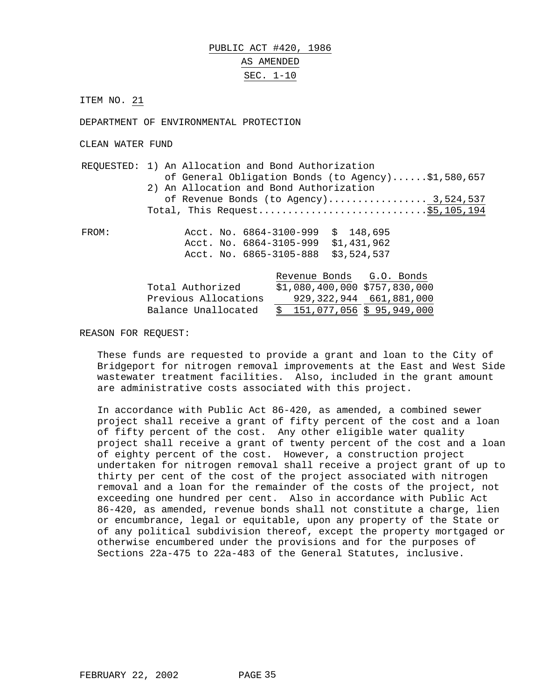## PUBLIC ACT #420, 1986 AS AMENDED SEC. 1-10

ITEM NO. 21

DEPARTMENT OF ENVIRONMENTAL PROTECTION

CLEAN WATER FUND

REQUESTED: 1) An Allocation and Bond Authorization of General Obligation Bonds (to Agency)......\$1,580,657 2) An Allocation and Bond Authorization of Revenue Bonds (to Agency)................... 3,524,537 Total, This Request.............................\$5,105,194

FROM: Acct. No. 6864-3100-999 \$ 148,695 Acct. No. 6864-3105-999 \$1,431,962 Acct. No. 6865-3105-888 \$3,524,537

|                      | Revenue Bonds                  |  | G.O. Bonds |
|----------------------|--------------------------------|--|------------|
| Total Authorized     | $$1,080,400,000$ \$757,830,000 |  |            |
| Previous Allocations | 929, 322, 944 661, 881, 000    |  |            |
| Balance Unallocated  | 151,077,056 \$ 95,949,000      |  |            |

#### REASON FOR REQUEST:

These funds are requested to provide a grant and loan to the City of Bridgeport for nitrogen removal improvements at the East and West Side wastewater treatment facilities. Also, included in the grant amount are administrative costs associated with this project.

In accordance with Public Act 86-420, as amended, a combined sewer project shall receive a grant of fifty percent of the cost and a loan of fifty percent of the cost. Any other eligible water quality project shall receive a grant of twenty percent of the cost and a loan of eighty percent of the cost. However, a construction project undertaken for nitrogen removal shall receive a project grant of up to thirty per cent of the cost of the project associated with nitrogen removal and a loan for the remainder of the costs of the project, not exceeding one hundred per cent. Also in accordance with Public Act 86-420, as amended, revenue bonds shall not constitute a charge, lien or encumbrance, legal or equitable, upon any property of the State or of any political subdivision thereof, except the property mortgaged or otherwise encumbered under the provisions and for the purposes of Sections 22a-475 to 22a-483 of the General Statutes, inclusive.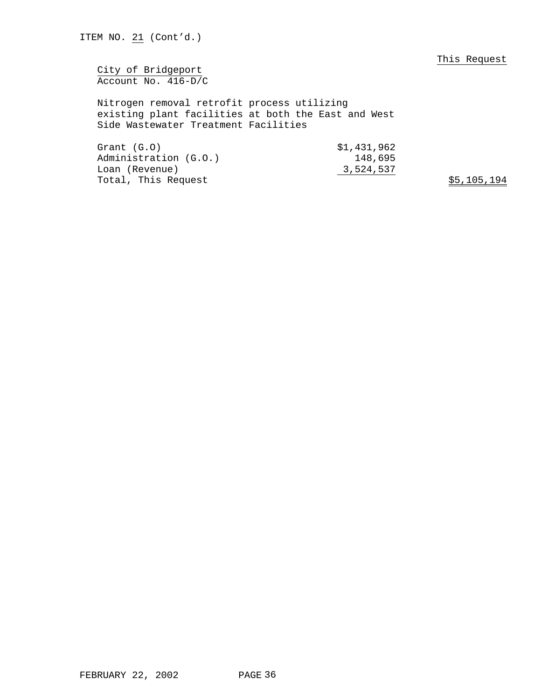City of Bridgeport Account No. 416-D/C

Nitrogen removal retrofit process utilizing existing plant facilities at both the East and West Side Wastewater Treatment Facilities

Grant (G.O) \$1,431,962 Administration (G.O.) 148,695 Loan (Revenue) 3,524,537 Total, This Request  $$5,105,194$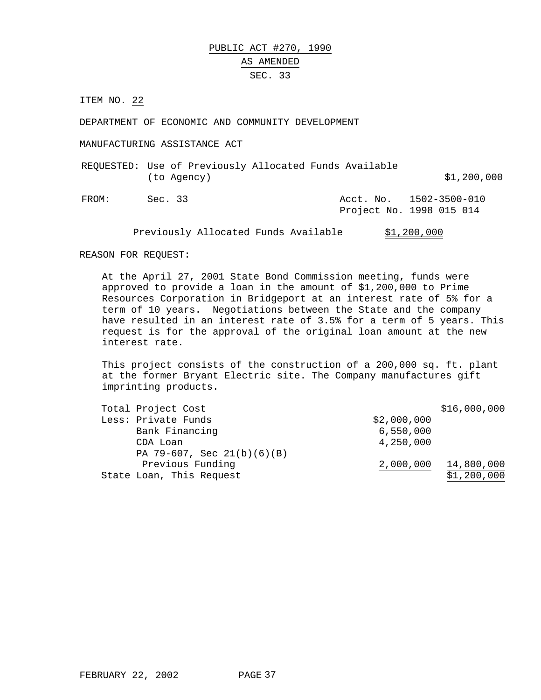# PUBLIC ACT #270, 1990 AS AMENDED SEC. 33

ITEM NO. 22

DEPARTMENT OF ECONOMIC AND COMMUNITY DEVELOPMENT

MANUFACTURING ASSISTANCE ACT

REQUESTED: Use of Previously Allocated Funds Available (to Agency) \$1,200,000

FROM: Sec. 33 Acct. No. 1502-3500-010 Project No. 1998 015 014

Previously Allocated Funds Available \$1,200,000

#### REASON FOR REQUEST:

At the April 27, 2001 State Bond Commission meeting, funds were approved to provide a loan in the amount of \$1,200,000 to Prime Resources Corporation in Bridgeport at an interest rate of 5% for a term of 10 years. Negotiations between the State and the company have resulted in an interest rate of 3.5% for a term of 5 years. This request is for the approval of the original loan amount at the new interest rate.

This project consists of the construction of a 200,000 sq. ft. plant at the former Bryant Electric site. The Company manufactures gift imprinting products.

| Total Project Cost           |             | \$16,000,000 |
|------------------------------|-------------|--------------|
| Less: Private Funds          | \$2,000,000 |              |
| Bank Financing               | 6,550,000   |              |
| CDA Loan                     | 4,250,000   |              |
| PA 79-607, Sec $21(b)(6)(B)$ |             |              |
| Previous Funding             | 2,000,000   | 14,800,000   |
| State Loan, This Request     |             | \$1,200,000  |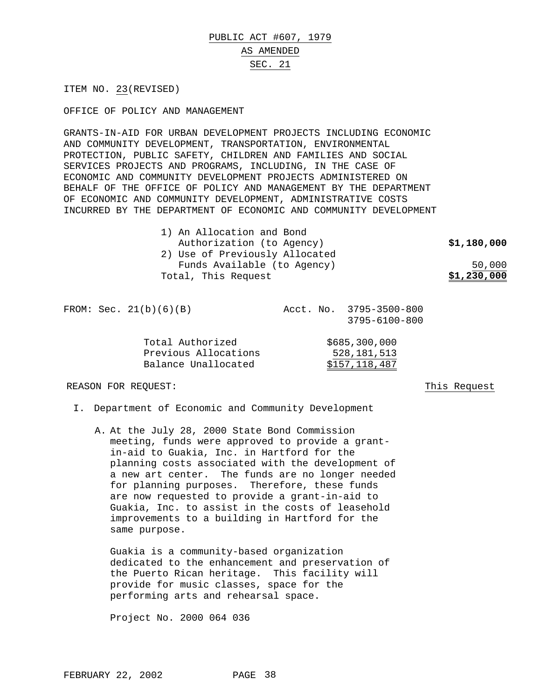# PUBLIC ACT #607, 1979 AS AMENDED

#### SEC. 21

ITEM NO. 23(REVISED)

OFFICE OF POLICY AND MANAGEMENT

GRANTS-IN-AID FOR URBAN DEVELOPMENT PROJECTS INCLUDING ECONOMIC AND COMMUNITY DEVELOPMENT, TRANSPORTATION, ENVIRONMENTAL PROTECTION, PUBLIC SAFETY, CHILDREN AND FAMILIES AND SOCIAL SERVICES PROJECTS AND PROGRAMS, INCLUDING, IN THE CASE OF ECONOMIC AND COMMUNITY DEVELOPMENT PROJECTS ADMINISTERED ON BEHALF OF THE OFFICE OF POLICY AND MANAGEMENT BY THE DEPARTMENT OF ECONOMIC AND COMMUNITY DEVELOPMENT, ADMINISTRATIVE COSTS INCURRED BY THE DEPARTMENT OF ECONOMIC AND COMMUNITY DEVELOPMENT

| 1) An Allocation and Bond      |             |
|--------------------------------|-------------|
| Authorization (to Agency)      | \$1,180,000 |
| 2) Use of Previously Allocated |             |
| Funds Available (to Agency)    | 50,000      |
| Total, This Request            | \$1,230,000 |

FROM: Sec. 21(b)(6)(B) Acct. No. 3795-3500-800 3795-6100-800

| Total Authorized     | \$685,300,000 |
|----------------------|---------------|
| Previous Allocations | 528,181,513   |
| Balance Unallocated  | \$157,118,487 |

REASON FOR REQUEST: This Request

- I. Department of Economic and Community Development
	- A. At the July 28, 2000 State Bond Commission meeting, funds were approved to provide a grantin-aid to Guakia, Inc. in Hartford for the planning costs associated with the development of a new art center. The funds are no longer needed for planning purposes. Therefore, these funds are now requested to provide a grant-in-aid to Guakia, Inc. to assist in the costs of leasehold improvements to a building in Hartford for the same purpose.

Guakia is a community-based organization dedicated to the enhancement and preservation of the Puerto Rican heritage. This facility will provide for music classes, space for the performing arts and rehearsal space.

Project No. 2000 064 036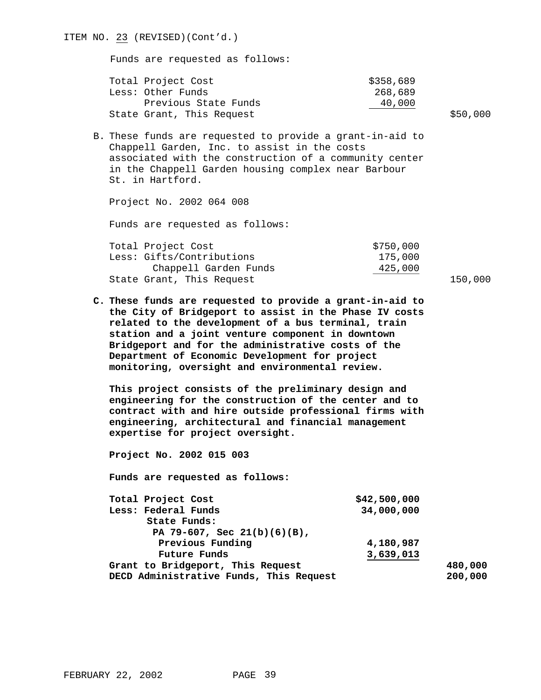| ITEM NO. 23 (REVISED) (Cont'd.)                                                                                                                                                                                                                                                                                                                                                            |                                |          |  |
|--------------------------------------------------------------------------------------------------------------------------------------------------------------------------------------------------------------------------------------------------------------------------------------------------------------------------------------------------------------------------------------------|--------------------------------|----------|--|
| Funds are requested as follows:                                                                                                                                                                                                                                                                                                                                                            |                                |          |  |
| Total Project Cost<br>Less: Other Funds<br>Previous State Funds                                                                                                                                                                                                                                                                                                                            | \$358,689<br>268,689<br>40,000 |          |  |
| State Grant, This Request                                                                                                                                                                                                                                                                                                                                                                  |                                | \$50,000 |  |
| B. These funds are requested to provide a grant-in-aid to<br>Chappell Garden, Inc. to assist in the costs<br>associated with the construction of a community center<br>in the Chappell Garden housing complex near Barbour<br>St. in Hartford.                                                                                                                                             |                                |          |  |
| Project No. 2002 064 008                                                                                                                                                                                                                                                                                                                                                                   |                                |          |  |
| Funds are requested as follows:                                                                                                                                                                                                                                                                                                                                                            |                                |          |  |
| Total Project Cost<br>Less: Gifts/Contributions                                                                                                                                                                                                                                                                                                                                            | \$750,000<br>175,000           |          |  |
| Chappell Garden Funds                                                                                                                                                                                                                                                                                                                                                                      | 425,000                        |          |  |
| State Grant, This Request                                                                                                                                                                                                                                                                                                                                                                  |                                | 150,000  |  |
| C. These funds are requested to provide a grant-in-aid to<br>the City of Bridgeport to assist in the Phase IV costs<br>related to the development of a bus terminal, train<br>station and a joint venture component in downtown<br>Bridgeport and for the administrative costs of the<br>Department of Economic Development for project<br>monitoring, oversight and environmental review. |                                |          |  |
|                                                                                                                                                                                                                                                                                                                                                                                            |                                |          |  |
| This project consists of the preliminary design and<br>engineering for the construction of the center and to<br>contract with and hire outside professional firms with<br>engineering, architectural and financial management<br>expertise for project oversight.                                                                                                                          |                                |          |  |
| Project No. 2002 015 003                                                                                                                                                                                                                                                                                                                                                                   |                                |          |  |
| Funds are requested as follows:                                                                                                                                                                                                                                                                                                                                                            |                                |          |  |
| Total Project Cost<br>Less: Federal Funds<br>State Funds:                                                                                                                                                                                                                                                                                                                                  | \$42,500,000<br>34,000,000     |          |  |
| PA 79-607, Sec 21(b)(6)(B),<br>Previous Funding                                                                                                                                                                                                                                                                                                                                            | 4,180,987                      |          |  |
| <b>Future Funds</b><br>Grant to Bridgeport, This Request                                                                                                                                                                                                                                                                                                                                   | 3,639,013                      | 480,000  |  |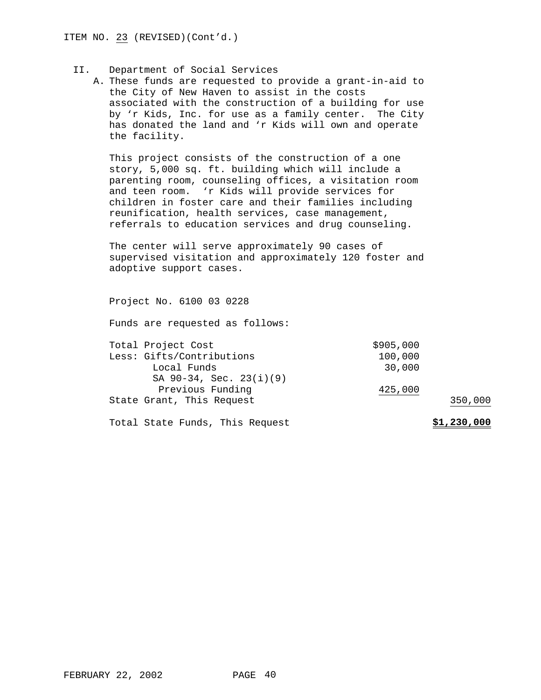#### II. Department of Social Services

A. These funds are requested to provide a grant-in-aid to the City of New Haven to assist in the costs associated with the construction of a building for use by 'r Kids, Inc. for use as a family center. The City has donated the land and 'r Kids will own and operate the facility.

This project consists of the construction of a one story, 5,000 sq. ft. building which will include a parenting room, counseling offices, a visitation room and teen room. 'r Kids will provide services for children in foster care and their families including reunification, health services, case management, referrals to education services and drug counseling.

The center will serve approximately 90 cases of supervised visitation and approximately 120 foster and adoptive support cases.

Project No. 6100 03 0228

| Total Project Cost              | \$905,000 |             |
|---------------------------------|-----------|-------------|
| Less: Gifts/Contributions       | 100,000   |             |
| Local Funds                     | 30,000    |             |
| SA 90-34, Sec. 23(i)(9)         |           |             |
| Previous Funding                | 425,000   |             |
| State Grant, This Request       |           | 350,000     |
| Total State Funds, This Request |           | \$1,230,000 |